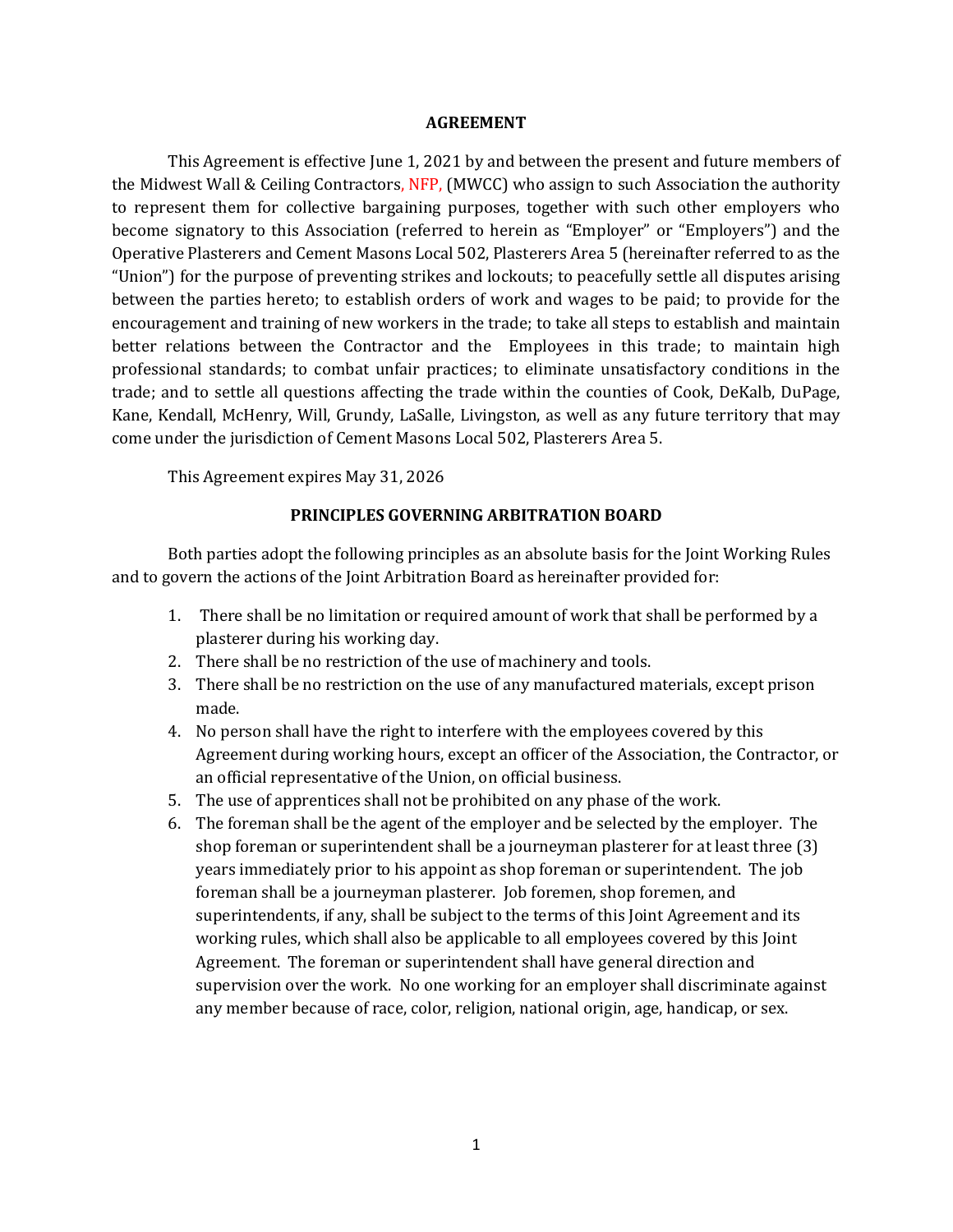### **AGREEMENT**

This Agreement is effective June 1, 2021 by and between the present and future members of the Midwest Wall & Ceiling Contractors, NFP, (MWCC) who assign to such Association the authority to represent them for collective bargaining purposes, together with such other employers who become signatory to this Association (referred to herein as "Employer" or "Employers") and the Operative Plasterers and Cement Masons Local 502, Plasterers Area 5 (hereinafter referred to as the "Union") for the purpose of preventing strikes and lockouts; to peacefully settle all disputes arising between the parties hereto; to establish orders of work and wages to be paid; to provide for the encouragement and training of new workers in the trade; to take all steps to establish and maintain better relations between the Contractor and the Employees in this trade; to maintain high professional standards; to combat unfair practices; to eliminate unsatisfactory conditions in the trade; and to settle all questions affecting the trade within the counties of Cook, DeKalb, DuPage, Kane, Kendall, McHenry, Will, Grundy, LaSalle, Livingston, as well as any future territory that may come under the jurisdiction of Cement Masons Local 502, Plasterers Area 5.

This Agreement expires May 31, 2026

## **PRINCIPLES GOVERNING ARBITRATION BOARD**

Both parties adopt the following principles as an absolute basis for the Joint Working Rules and to govern the actions of the Joint Arbitration Board as hereinafter provided for:

- 1. There shall be no limitation or required amount of work that shall be performed by a plasterer during his working day.
- 2. There shall be no restriction of the use of machinery and tools.
- 3. There shall be no restriction on the use of any manufactured materials, except prison made.
- 4. No person shall have the right to interfere with the employees covered by this Agreement during working hours, except an officer of the Association, the Contractor, or an official representative of the Union, on official business.
- 5. The use of apprentices shall not be prohibited on any phase of the work.
- 6. The foreman shall be the agent of the employer and be selected by the employer. The shop foreman or superintendent shall be a journeyman plasterer for at least three (3) years immediately prior to his appoint as shop foreman or superintendent. The job foreman shall be a journeyman plasterer. Job foremen, shop foremen, and superintendents, if any, shall be subject to the terms of this Joint Agreement and its working rules, which shall also be applicable to all employees covered by this Joint Agreement. The foreman or superintendent shall have general direction and supervision over the work. No one working for an employer shall discriminate against any member because of race, color, religion, national origin, age, handicap, or sex.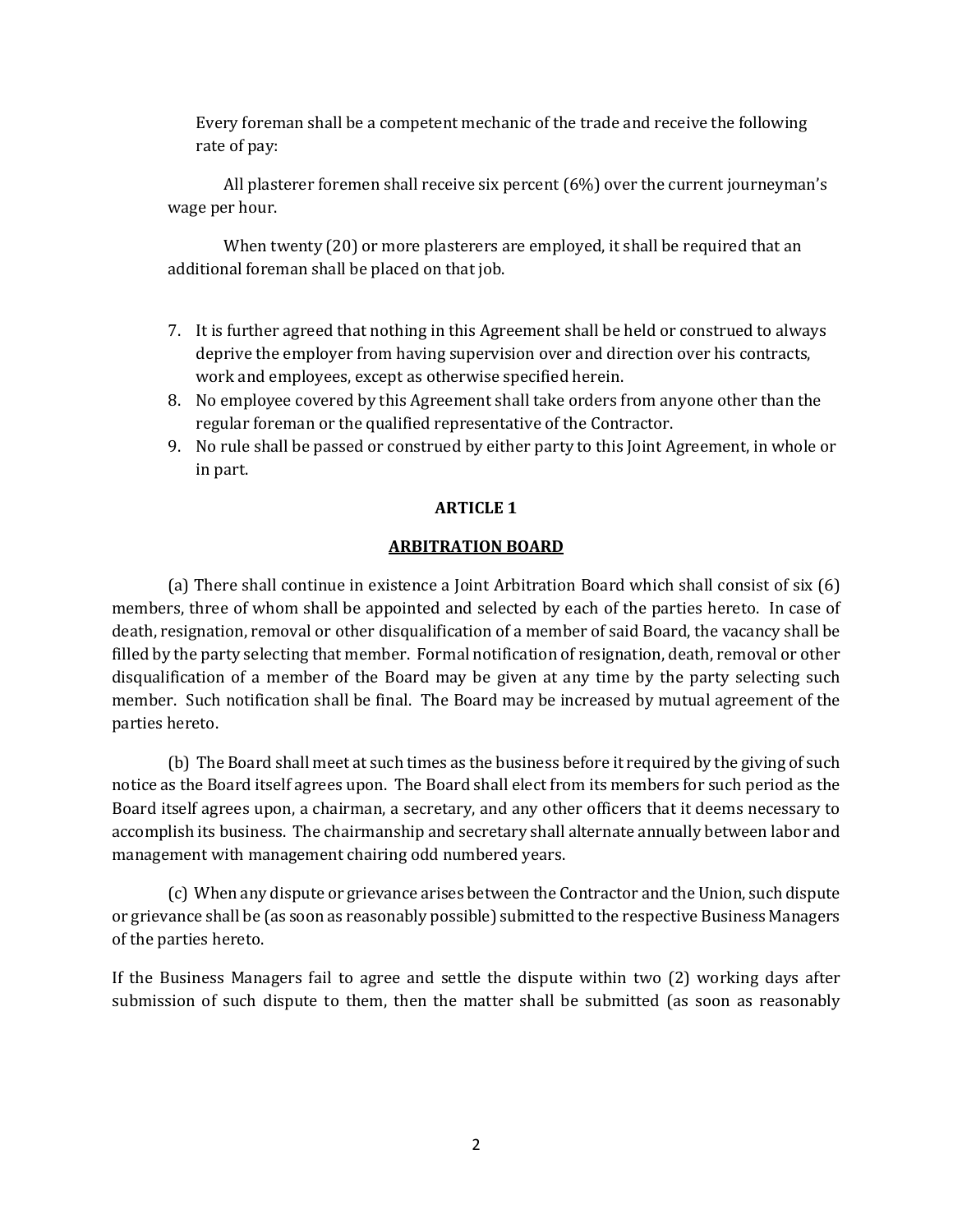Every foreman shall be a competent mechanic of the trade and receive the following rate of pay:

All plasterer foremen shall receive six percent (6%) over the current journeyman's wage per hour.

When twenty (20) or more plasterers are employed, it shall be required that an additional foreman shall be placed on that job.

- 7. It is further agreed that nothing in this Agreement shall be held or construed to always deprive the employer from having supervision over and direction over his contracts, work and employees, except as otherwise specified herein.
- 8. No employee covered by this Agreement shall take orders from anyone other than the regular foreman or the qualified representative of the Contractor.
- 9. No rule shall be passed or construed by either party to this Joint Agreement, in whole or in part.

# **ARTICLE 1**

# **ARBITRATION BOARD**

(a) There shall continue in existence a Joint Arbitration Board which shall consist of six (6) members, three of whom shall be appointed and selected by each of the parties hereto. In case of death, resignation, removal or other disqualification of a member of said Board, the vacancy shall be filled by the party selecting that member. Formal notification of resignation, death, removal or other disqualification of a member of the Board may be given at any time by the party selecting such member. Such notification shall be final. The Board may be increased by mutual agreement of the parties hereto.

(b) The Board shall meet at such times as the business before it required by the giving of such notice as the Board itself agrees upon. The Board shall elect from its members for such period as the Board itself agrees upon, a chairman, a secretary, and any other officers that it deems necessary to accomplish its business. The chairmanship and secretary shall alternate annually between labor and management with management chairing odd numbered years.

(c) When any dispute or grievance arises between the Contractor and the Union, such dispute or grievance shall be (as soon as reasonably possible) submitted to the respective Business Managers of the parties hereto.

If the Business Managers fail to agree and settle the dispute within two (2) working days after submission of such dispute to them, then the matter shall be submitted (as soon as reasonably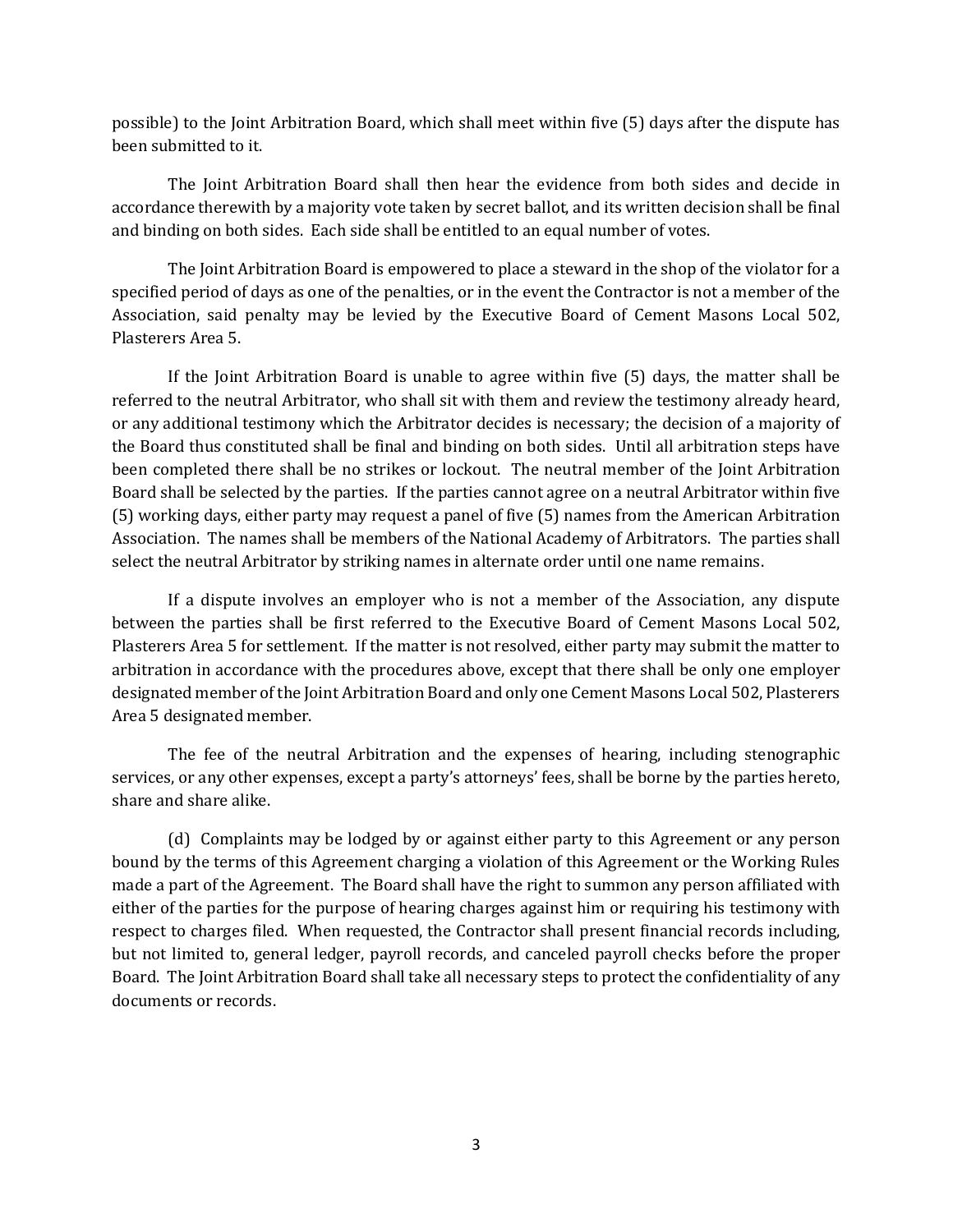possible) to the Joint Arbitration Board, which shall meet within five (5) days after the dispute has been submitted to it.

The Joint Arbitration Board shall then hear the evidence from both sides and decide in accordance therewith by a majority vote taken by secret ballot, and its written decision shall be final and binding on both sides. Each side shall be entitled to an equal number of votes.

The Joint Arbitration Board is empowered to place a steward in the shop of the violator for a specified period of days as one of the penalties, or in the event the Contractor is not a member of the Association, said penalty may be levied by the Executive Board of Cement Masons Local 502, Plasterers Area 5.

If the Joint Arbitration Board is unable to agree within five (5) days, the matter shall be referred to the neutral Arbitrator, who shall sit with them and review the testimony already heard, or any additional testimony which the Arbitrator decides is necessary; the decision of a majority of the Board thus constituted shall be final and binding on both sides. Until all arbitration steps have been completed there shall be no strikes or lockout. The neutral member of the Joint Arbitration Board shall be selected by the parties. If the parties cannot agree on a neutral Arbitrator within five (5) working days, either party may request a panel of five (5) names from the American Arbitration Association. The names shall be members of the National Academy of Arbitrators. The parties shall select the neutral Arbitrator by striking names in alternate order until one name remains.

If a dispute involves an employer who is not a member of the Association, any dispute between the parties shall be first referred to the Executive Board of Cement Masons Local 502, Plasterers Area 5 for settlement. If the matter is not resolved, either party may submit the matter to arbitration in accordance with the procedures above, except that there shall be only one employer designated member of the Joint Arbitration Board and only one Cement Masons Local 502, Plasterers Area 5 designated member.

The fee of the neutral Arbitration and the expenses of hearing, including stenographic services, or any other expenses, except a party's attorneys' fees, shall be borne by the parties hereto, share and share alike.

(d) Complaints may be lodged by or against either party to this Agreement or any person bound by the terms of this Agreement charging a violation of this Agreement or the Working Rules made a part of the Agreement. The Board shall have the right to summon any person affiliated with either of the parties for the purpose of hearing charges against him or requiring his testimony with respect to charges filed. When requested, the Contractor shall present financial records including, but not limited to, general ledger, payroll records, and canceled payroll checks before the proper Board. The Joint Arbitration Board shall take all necessary steps to protect the confidentiality of any documents or records.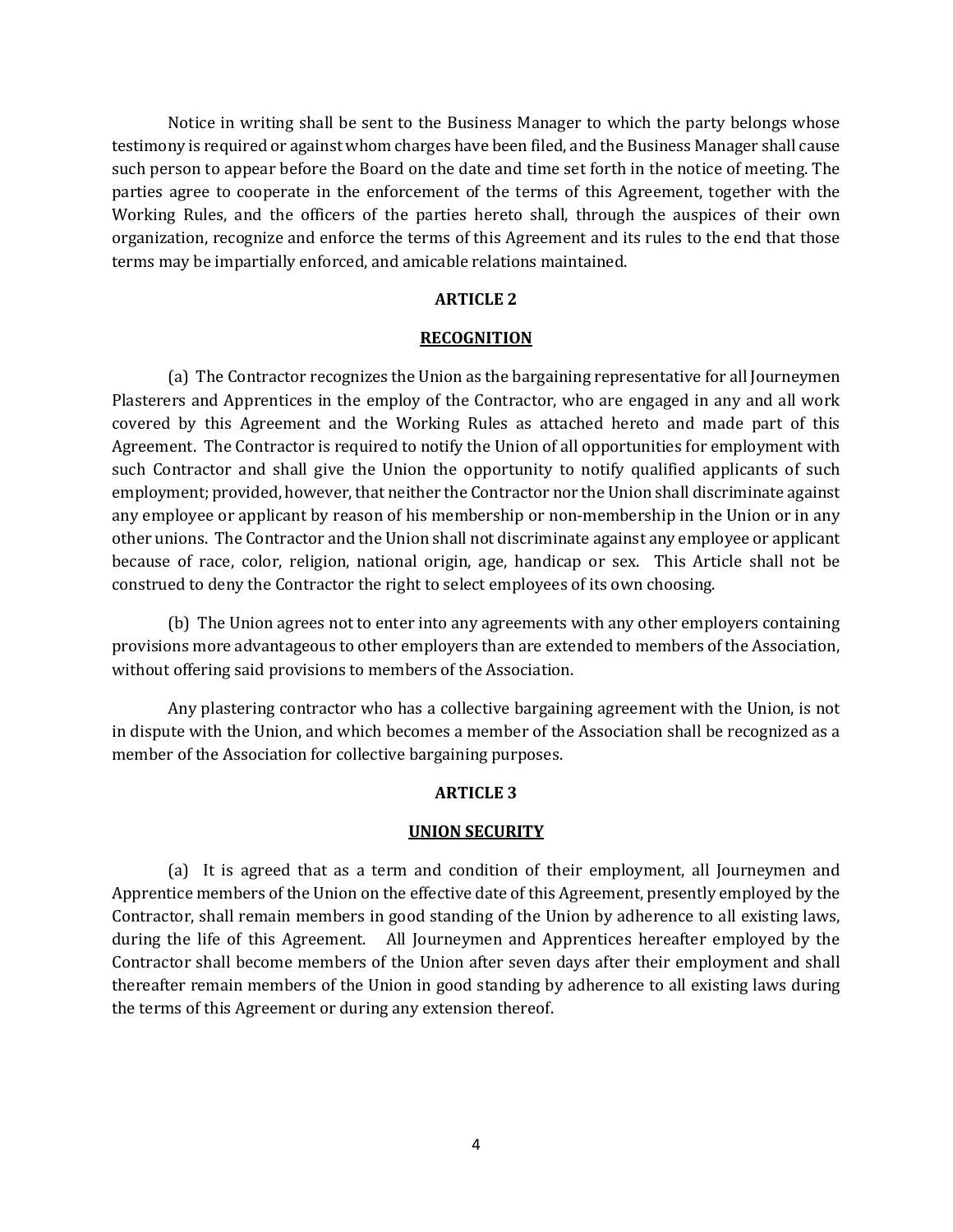Notice in writing shall be sent to the Business Manager to which the party belongs whose testimony is required or against whom charges have been filed, and the Business Manager shall cause such person to appear before the Board on the date and time set forth in the notice of meeting. The parties agree to cooperate in the enforcement of the terms of this Agreement, together with the Working Rules, and the officers of the parties hereto shall, through the auspices of their own organization, recognize and enforce the terms of this Agreement and its rules to the end that those terms may be impartially enforced, and amicable relations maintained.

## **ARTICLE 2**

### **RECOGNITION**

(a) The Contractor recognizes the Union as the bargaining representative for all Journeymen Plasterers and Apprentices in the employ of the Contractor, who are engaged in any and all work covered by this Agreement and the Working Rules as attached hereto and made part of this Agreement. The Contractor is required to notify the Union of all opportunities for employment with such Contractor and shall give the Union the opportunity to notify qualified applicants of such employment; provided, however, that neither the Contractor nor the Union shall discriminate against any employee or applicant by reason of his membership or non-membership in the Union or in any other unions. The Contractor and the Union shall not discriminate against any employee or applicant because of race, color, religion, national origin, age, handicap or sex. This Article shall not be construed to deny the Contractor the right to select employees of its own choosing.

(b) The Union agrees not to enter into any agreements with any other employers containing provisions more advantageous to other employers than are extended to members of the Association, without offering said provisions to members of the Association.

Any plastering contractor who has a collective bargaining agreement with the Union, is not in dispute with the Union, and which becomes a member of the Association shall be recognized as a member of the Association for collective bargaining purposes.

## **ARTICLE 3**

#### **UNION SECURITY**

(a) It is agreed that as a term and condition of their employment, all Journeymen and Apprentice members of the Union on the effective date of this Agreement, presently employed by the Contractor, shall remain members in good standing of the Union by adherence to all existing laws, during the life of this Agreement. All Journeymen and Apprentices hereafter employed by the Contractor shall become members of the Union after seven days after their employment and shall thereafter remain members of the Union in good standing by adherence to all existing laws during the terms of this Agreement or during any extension thereof.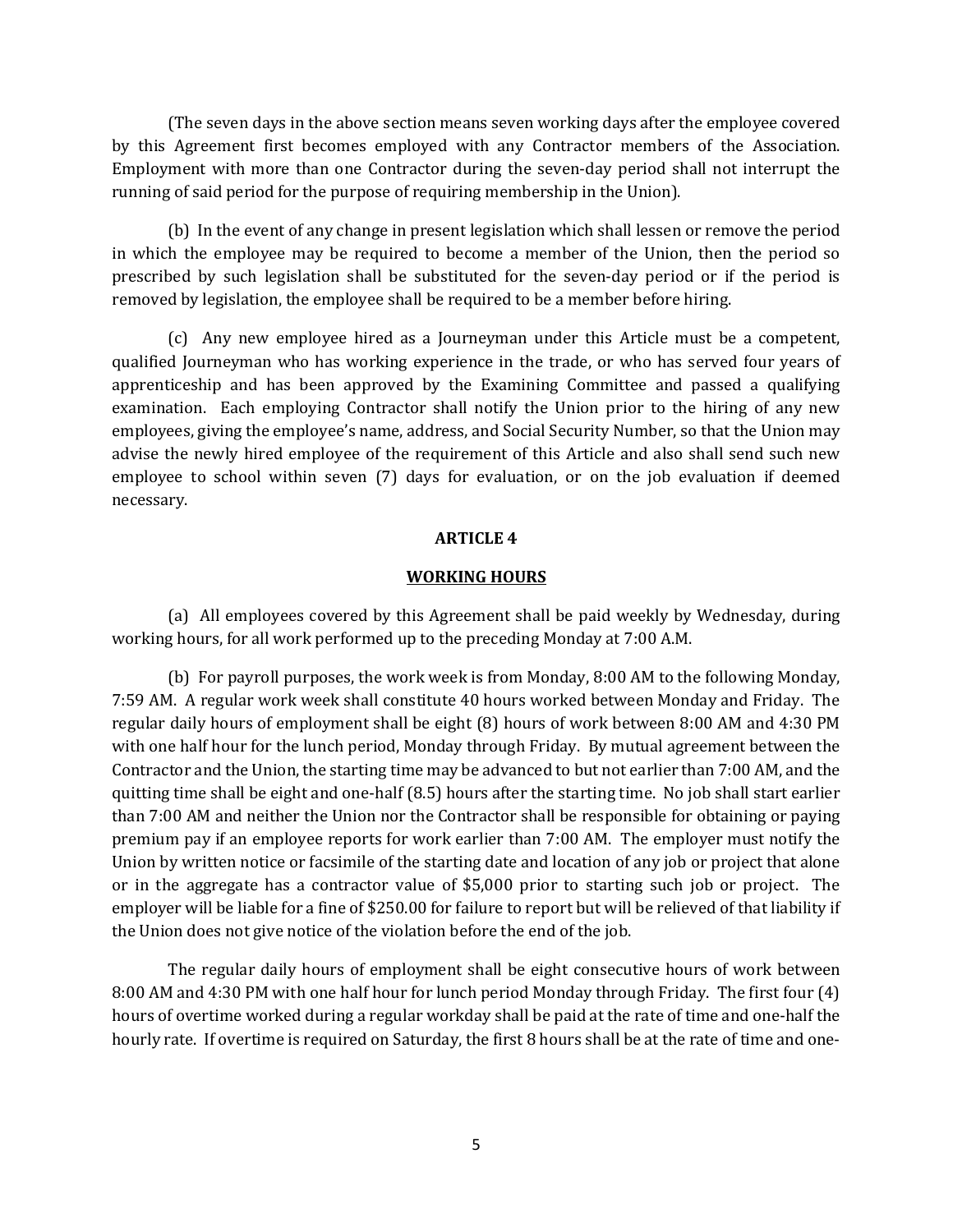(The seven days in the above section means seven working days after the employee covered by this Agreement first becomes employed with any Contractor members of the Association. Employment with more than one Contractor during the seven-day period shall not interrupt the running of said period for the purpose of requiring membership in the Union).

(b) In the event of any change in present legislation which shall lessen or remove the period in which the employee may be required to become a member of the Union, then the period so prescribed by such legislation shall be substituted for the seven-day period or if the period is removed by legislation, the employee shall be required to be a member before hiring.

(c) Any new employee hired as a Journeyman under this Article must be a competent, qualified Journeyman who has working experience in the trade, or who has served four years of apprenticeship and has been approved by the Examining Committee and passed a qualifying examination. Each employing Contractor shall notify the Union prior to the hiring of any new employees, giving the employee's name, address, and Social Security Number, so that the Union may advise the newly hired employee of the requirement of this Article and also shall send such new employee to school within seven (7) days for evaluation, or on the job evaluation if deemed necessary.

## **ARTICLE 4**

### **WORKING HOURS**

(a) All employees covered by this Agreement shall be paid weekly by Wednesday, during working hours, for all work performed up to the preceding Monday at 7:00 A.M.

(b) For payroll purposes, the work week is from Monday, 8:00 AM to the following Monday, 7:59 AM. A regular work week shall constitute 40 hours worked between Monday and Friday. The regular daily hours of employment shall be eight (8) hours of work between 8:00 AM and 4:30 PM with one half hour for the lunch period, Monday through Friday. By mutual agreement between the Contractor and the Union, the starting time may be advanced to but not earlier than 7:00 AM, and the quitting time shall be eight and one-half (8.5) hours after the starting time. No job shall start earlier than 7:00 AM and neither the Union nor the Contractor shall be responsible for obtaining or paying premium pay if an employee reports for work earlier than 7:00 AM. The employer must notify the Union by written notice or facsimile of the starting date and location of any job or project that alone or in the aggregate has a contractor value of \$5,000 prior to starting such job or project. The employer will be liable for a fine of \$250.00 for failure to report but will be relieved of that liability if the Union does not give notice of the violation before the end of the job.

The regular daily hours of employment shall be eight consecutive hours of work between 8:00 AM and 4:30 PM with one half hour for lunch period Monday through Friday. The first four (4) hours of overtime worked during a regular workday shall be paid at the rate of time and one-half the hourly rate. If overtime is required on Saturday, the first 8 hours shall be at the rate of time and one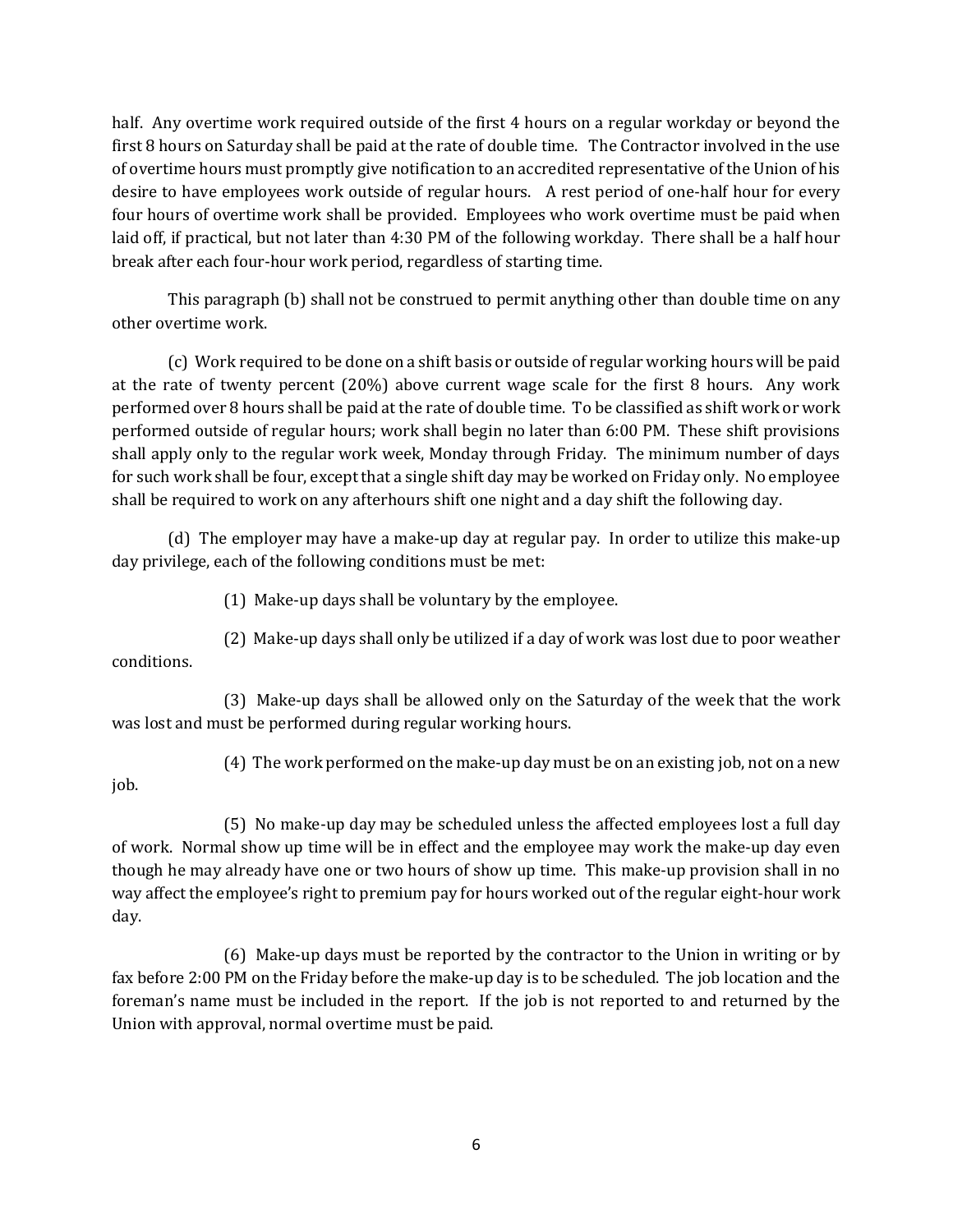half. Any overtime work required outside of the first 4 hours on a regular workday or beyond the first 8 hours on Saturday shall be paid at the rate of double time. The Contractor involved in the use of overtime hours must promptly give notification to an accredited representative of the Union of his desire to have employees work outside of regular hours. A rest period of one-half hour for every four hours of overtime work shall be provided. Employees who work overtime must be paid when laid off, if practical, but not later than 4:30 PM of the following workday. There shall be a half hour break after each four-hour work period, regardless of starting time.

This paragraph (b) shall not be construed to permit anything other than double time on any other overtime work.

(c) Work required to be done on a shift basis or outside of regular working hours will be paid at the rate of twenty percent (20%) above current wage scale for the first 8 hours. Any work performed over 8 hours shall be paid at the rate of double time. To be classified as shift work or work performed outside of regular hours; work shall begin no later than 6:00 PM. These shift provisions shall apply only to the regular work week, Monday through Friday. The minimum number of days for such work shall be four, except that a single shift day may be worked on Friday only. No employee shall be required to work on any afterhours shift one night and a day shift the following day.

(d) The employer may have a make-up day at regular pay. In order to utilize this make-up day privilege, each of the following conditions must be met:

(1) Make-up days shall be voluntary by the employee.

(2) Make-up days shall only be utilized if a day of work was lost due to poor weather conditions.

(3) Make-up days shall be allowed only on the Saturday of the week that the work was lost and must be performed during regular working hours.

(4) The work performed on the make-up day must be on an existing job, not on a new

job.

(5) No make-up day may be scheduled unless the affected employees lost a full day of work. Normal show up time will be in effect and the employee may work the make-up day even though he may already have one or two hours of show up time. This make-up provision shall in no way affect the employee's right to premium pay for hours worked out of the regular eight-hour work day.

(6) Make-up days must be reported by the contractor to the Union in writing or by fax before 2:00 PM on the Friday before the make-up day is to be scheduled. The job location and the foreman's name must be included in the report. If the job is not reported to and returned by the Union with approval, normal overtime must be paid.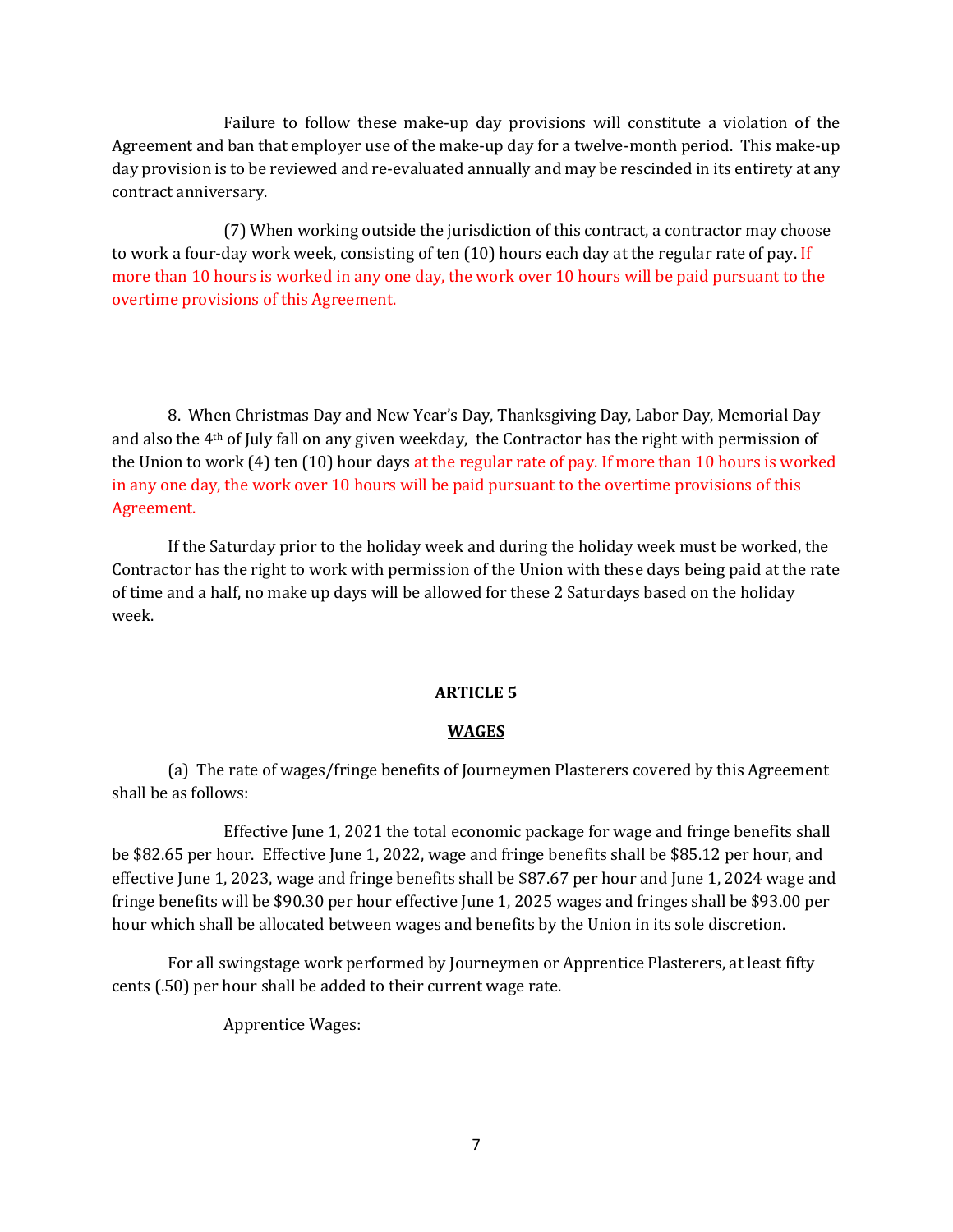Failure to follow these make-up day provisions will constitute a violation of the Agreement and ban that employer use of the make-up day for a twelve-month period. This make-up day provision is to be reviewed and re-evaluated annually and may be rescinded in its entirety at any contract anniversary.

(7) When working outside the jurisdiction of this contract, a contractor may choose to work a four-day work week, consisting of ten (10) hours each day at the regular rate of pay. If more than 10 hours is worked in any one day, the work over 10 hours will be paid pursuant to the overtime provisions of this Agreement.

8. When Christmas Day and New Year's Day, Thanksgiving Day, Labor Day, Memorial Day and also the  $4<sup>th</sup>$  of July fall on any given weekday, the Contractor has the right with permission of the Union to work (4) ten (10) hour days at the regular rate of pay. If more than 10 hours is worked in any one day, the work over 10 hours will be paid pursuant to the overtime provisions of this Agreement.

If the Saturday prior to the holiday week and during the holiday week must be worked, the Contractor has the right to work with permission of the Union with these days being paid at the rate of time and a half, no make up days will be allowed for these 2 Saturdays based on the holiday week.

# **ARTICLE 5**

## **WAGES**

(a) The rate of wages/fringe benefits of Journeymen Plasterers covered by this Agreement shall be as follows:

Effective June 1, 2021 the total economic package for wage and fringe benefits shall be \$82.65 per hour. Effective June 1, 2022, wage and fringe benefits shall be \$85.12 per hour, and effective June 1, 2023, wage and fringe benefits shall be \$87.67 per hour and June 1, 2024 wage and fringe benefits will be \$90.30 per hour effective June 1, 2025 wages and fringes shall be \$93.00 per hour which shall be allocated between wages and benefits by the Union in its sole discretion.

For all swingstage work performed by Journeymen or Apprentice Plasterers, at least fifty cents (.50) per hour shall be added to their current wage rate.

Apprentice Wages: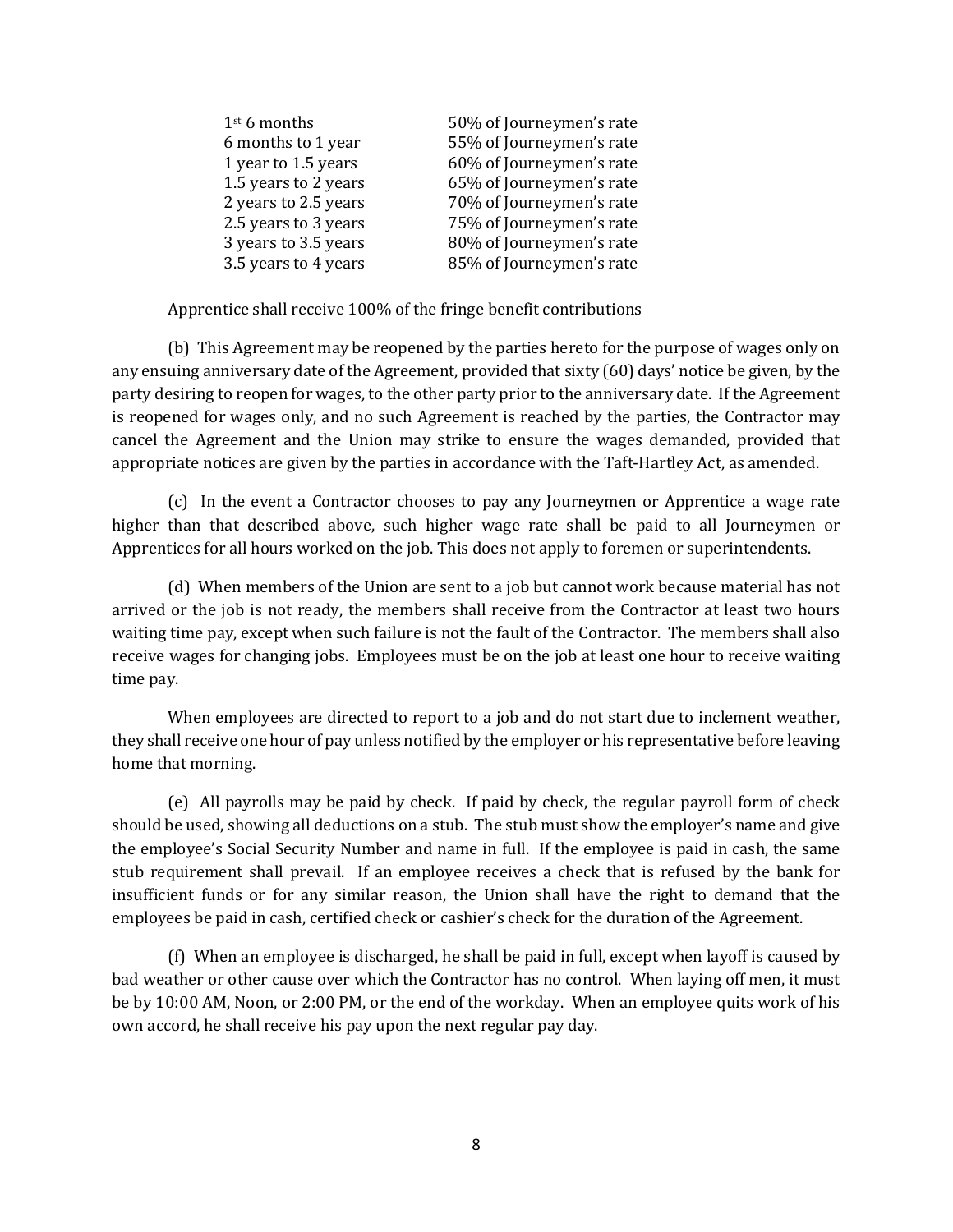| $1st$ 6 months       | 50% of Journeymen's rate |
|----------------------|--------------------------|
| 6 months to 1 year   | 55% of Journeymen's rate |
| 1 year to 1.5 years  | 60% of Journeymen's rate |
| 1.5 years to 2 years | 65% of Journeymen's rate |
| 2 years to 2.5 years | 70% of Journeymen's rate |
| 2.5 years to 3 years | 75% of Journeymen's rate |
| 3 years to 3.5 years | 80% of Journeymen's rate |
| 3.5 years to 4 years | 85% of Journeymen's rate |

Apprentice shall receive 100% of the fringe benefit contributions

(b) This Agreement may be reopened by the parties hereto for the purpose of wages only on any ensuing anniversary date of the Agreement, provided that sixty (60) days' notice be given, by the party desiring to reopen for wages, to the other party prior to the anniversary date. If the Agreement is reopened for wages only, and no such Agreement is reached by the parties, the Contractor may cancel the Agreement and the Union may strike to ensure the wages demanded, provided that appropriate notices are given by the parties in accordance with the Taft-Hartley Act, as amended.

(c) In the event a Contractor chooses to pay any Journeymen or Apprentice a wage rate higher than that described above, such higher wage rate shall be paid to all Journeymen or Apprentices for all hours worked on the job. This does not apply to foremen or superintendents.

(d) When members of the Union are sent to a job but cannot work because material has not arrived or the job is not ready, the members shall receive from the Contractor at least two hours waiting time pay, except when such failure is not the fault of the Contractor. The members shall also receive wages for changing jobs. Employees must be on the job at least one hour to receive waiting time pay.

When employees are directed to report to a job and do not start due to inclement weather, they shall receive one hour of pay unless notified by the employer or his representative before leaving home that morning.

(e) All payrolls may be paid by check. If paid by check, the regular payroll form of check should be used, showing all deductions on a stub. The stub must show the employer's name and give the employee's Social Security Number and name in full. If the employee is paid in cash, the same stub requirement shall prevail. If an employee receives a check that is refused by the bank for insufficient funds or for any similar reason, the Union shall have the right to demand that the employees be paid in cash, certified check or cashier's check for the duration of the Agreement.

(f) When an employee is discharged, he shall be paid in full, except when layoff is caused by bad weather or other cause over which the Contractor has no control. When laying off men, it must be by 10:00 AM, Noon, or 2:00 PM, or the end of the workday. When an employee quits work of his own accord, he shall receive his pay upon the next regular pay day.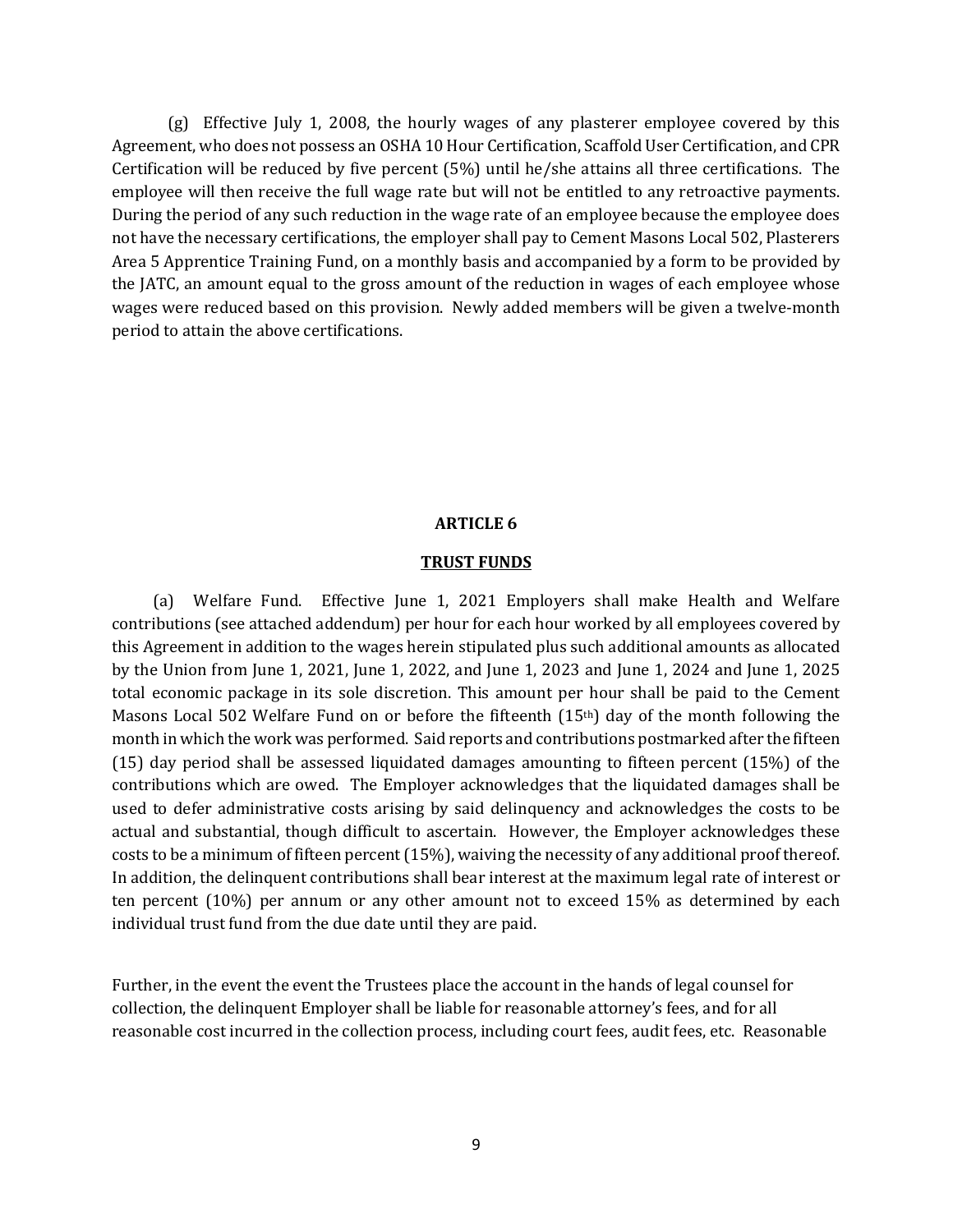(g) Effective July 1, 2008, the hourly wages of any plasterer employee covered by this Agreement, who does not possess an OSHA 10 Hour Certification, Scaffold User Certification, and CPR Certification will be reduced by five percent (5%) until he/she attains all three certifications. The employee will then receive the full wage rate but will not be entitled to any retroactive payments. During the period of any such reduction in the wage rate of an employee because the employee does not have the necessary certifications, the employer shall pay to Cement Masons Local 502, Plasterers Area 5 Apprentice Training Fund, on a monthly basis and accompanied by a form to be provided by the JATC, an amount equal to the gross amount of the reduction in wages of each employee whose wages were reduced based on this provision. Newly added members will be given a twelve-month period to attain the above certifications.

#### **ARTICLE 6**

#### **TRUST FUNDS**

 (a) Welfare Fund. Effective June 1, 2021 Employers shall make Health and Welfare contributions (see attached addendum) per hour for each hour worked by all employees covered by this Agreement in addition to the wages herein stipulated plus such additional amounts as allocated by the Union from June 1, 2021, June 1, 2022, and June 1, 2023 and June 1, 2024 and June 1, 2025 total economic package in its sole discretion. This amount per hour shall be paid to the Cement Masons Local 502 Welfare Fund on or before the fifteenth (15th) day of the month following the month in which the work was performed. Said reports and contributions postmarked after the fifteen (15) day period shall be assessed liquidated damages amounting to fifteen percent (15%) of the contributions which are owed. The Employer acknowledges that the liquidated damages shall be used to defer administrative costs arising by said delinquency and acknowledges the costs to be actual and substantial, though difficult to ascertain. However, the Employer acknowledges these costs to be a minimum of fifteen percent (15%), waiving the necessity of any additional proof thereof. In addition, the delinquent contributions shall bear interest at the maximum legal rate of interest or ten percent (10%) per annum or any other amount not to exceed 15% as determined by each individual trust fund from the due date until they are paid.

Further, in the event the event the Trustees place the account in the hands of legal counsel for collection, the delinquent Employer shall be liable for reasonable attorney's fees, and for all reasonable cost incurred in the collection process, including court fees, audit fees, etc. Reasonable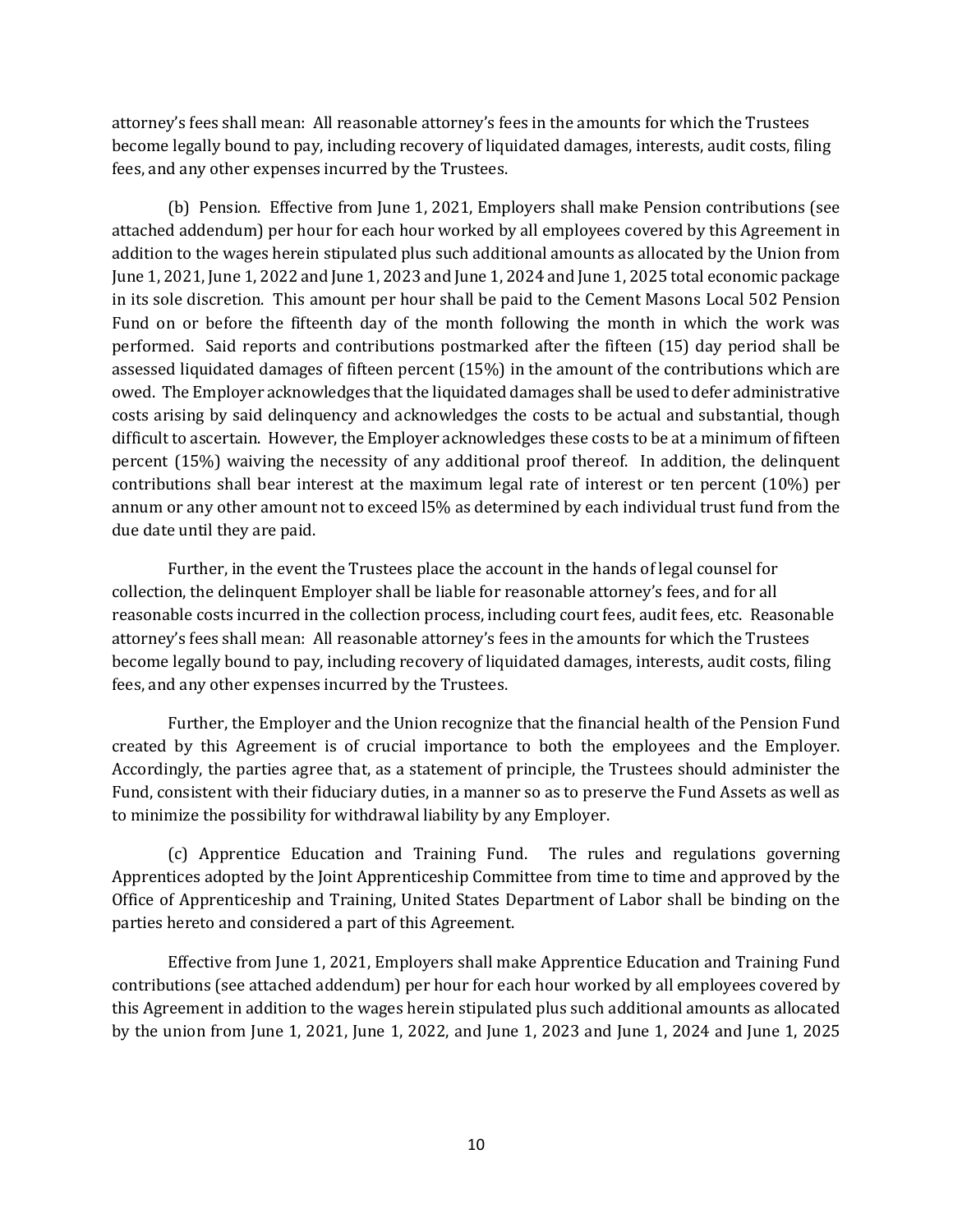attorney's fees shall mean: All reasonable attorney's fees in the amounts for which the Trustees become legally bound to pay, including recovery of liquidated damages, interests, audit costs, filing fees, and any other expenses incurred by the Trustees.

(b) Pension. Effective from June 1, 2021, Employers shall make Pension contributions (see attached addendum) per hour for each hour worked by all employees covered by this Agreement in addition to the wages herein stipulated plus such additional amounts as allocated by the Union from June 1, 2021, June 1, 2022 and June 1, 2023 and June 1, 2024 and June 1, 2025 total economic package in its sole discretion. This amount per hour shall be paid to the Cement Masons Local 502 Pension Fund on or before the fifteenth day of the month following the month in which the work was performed. Said reports and contributions postmarked after the fifteen (15) day period shall be assessed liquidated damages of fifteen percent (15%) in the amount of the contributions which are owed. The Employer acknowledges that the liquidated damages shall be used to defer administrative costs arising by said delinquency and acknowledges the costs to be actual and substantial, though difficult to ascertain. However, the Employer acknowledges these costs to be at a minimum of fifteen percent (15%) waiving the necessity of any additional proof thereof. In addition, the delinquent contributions shall bear interest at the maximum legal rate of interest or ten percent (10%) per annum or any other amount not to exceed l5% as determined by each individual trust fund from the due date until they are paid.

Further, in the event the Trustees place the account in the hands of legal counsel for collection, the delinquent Employer shall be liable for reasonable attorney's fees, and for all reasonable costs incurred in the collection process, including court fees, audit fees, etc. Reasonable attorney's fees shall mean: All reasonable attorney's fees in the amounts for which the Trustees become legally bound to pay, including recovery of liquidated damages, interests, audit costs, filing fees, and any other expenses incurred by the Trustees.

Further, the Employer and the Union recognize that the financial health of the Pension Fund created by this Agreement is of crucial importance to both the employees and the Employer. Accordingly, the parties agree that, as a statement of principle, the Trustees should administer the Fund, consistent with their fiduciary duties, in a manner so as to preserve the Fund Assets as well as to minimize the possibility for withdrawal liability by any Employer.

(c) Apprentice Education and Training Fund. The rules and regulations governing Apprentices adopted by the Joint Apprenticeship Committee from time to time and approved by the Office of Apprenticeship and Training, United States Department of Labor shall be binding on the parties hereto and considered a part of this Agreement.

Effective from June 1, 2021, Employers shall make Apprentice Education and Training Fund contributions (see attached addendum) per hour for each hour worked by all employees covered by this Agreement in addition to the wages herein stipulated plus such additional amounts as allocated by the union from June 1, 2021, June 1, 2022, and June 1, 2023 and June 1, 2024 and June 1, 2025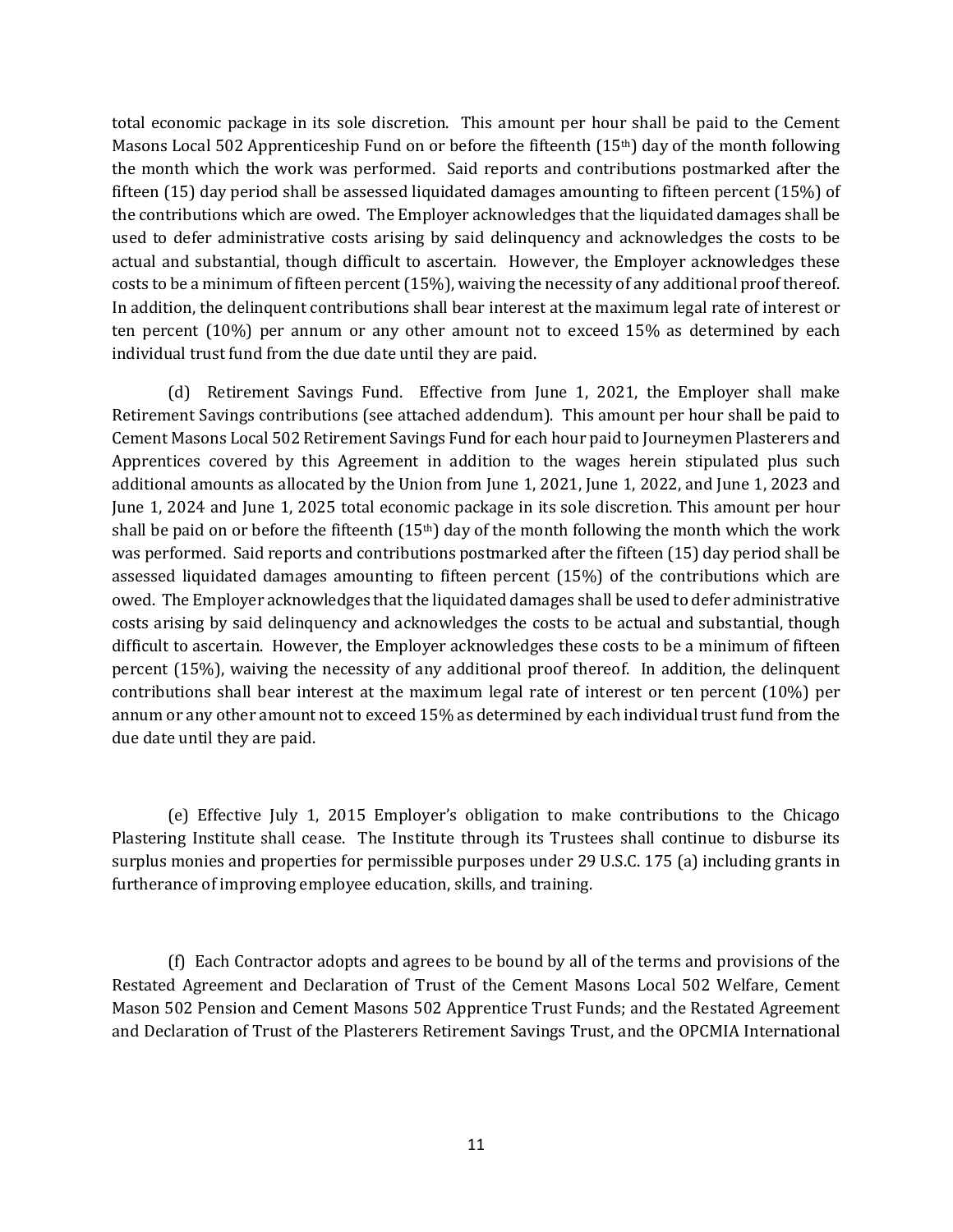total economic package in its sole discretion. This amount per hour shall be paid to the Cement Masons Local 502 Apprenticeship Fund on or before the fifteenth (15th) day of the month following the month which the work was performed. Said reports and contributions postmarked after the fifteen (15) day period shall be assessed liquidated damages amounting to fifteen percent (15%) of the contributions which are owed. The Employer acknowledges that the liquidated damages shall be used to defer administrative costs arising by said delinquency and acknowledges the costs to be actual and substantial, though difficult to ascertain. However, the Employer acknowledges these costs to be a minimum of fifteen percent (15%), waiving the necessity of any additional proof thereof. In addition, the delinquent contributions shall bear interest at the maximum legal rate of interest or ten percent (10%) per annum or any other amount not to exceed 15% as determined by each individual trust fund from the due date until they are paid.

(d) Retirement Savings Fund. Effective from June 1, 2021, the Employer shall make Retirement Savings contributions (see attached addendum). This amount per hour shall be paid to Cement Masons Local 502 Retirement Savings Fund for each hour paid to Journeymen Plasterers and Apprentices covered by this Agreement in addition to the wages herein stipulated plus such additional amounts as allocated by the Union from June 1, 2021, June 1, 2022, and June 1, 2023 and June 1, 2024 and June 1, 2025 total economic package in its sole discretion. This amount per hour shall be paid on or before the fifteenth (15<sup>th</sup>) day of the month following the month which the work was performed. Said reports and contributions postmarked after the fifteen (15) day period shall be assessed liquidated damages amounting to fifteen percent (15%) of the contributions which are owed. The Employer acknowledges that the liquidated damages shall be used to defer administrative costs arising by said delinquency and acknowledges the costs to be actual and substantial, though difficult to ascertain. However, the Employer acknowledges these costs to be a minimum of fifteen percent (15%), waiving the necessity of any additional proof thereof. In addition, the delinquent contributions shall bear interest at the maximum legal rate of interest or ten percent (10%) per annum or any other amount not to exceed 15% as determined by each individual trust fund from the due date until they are paid.

(e) Effective July 1, 2015 Employer's obligation to make contributions to the Chicago Plastering Institute shall cease. The Institute through its Trustees shall continue to disburse its surplus monies and properties for permissible purposes under 29 U.S.C. 175 (a) including grants in furtherance of improving employee education, skills, and training.

(f) Each Contractor adopts and agrees to be bound by all of the terms and provisions of the Restated Agreement and Declaration of Trust of the Cement Masons Local 502 Welfare, Cement Mason 502 Pension and Cement Masons 502 Apprentice Trust Funds; and the Restated Agreement and Declaration of Trust of the Plasterers Retirement Savings Trust, and the OPCMIA International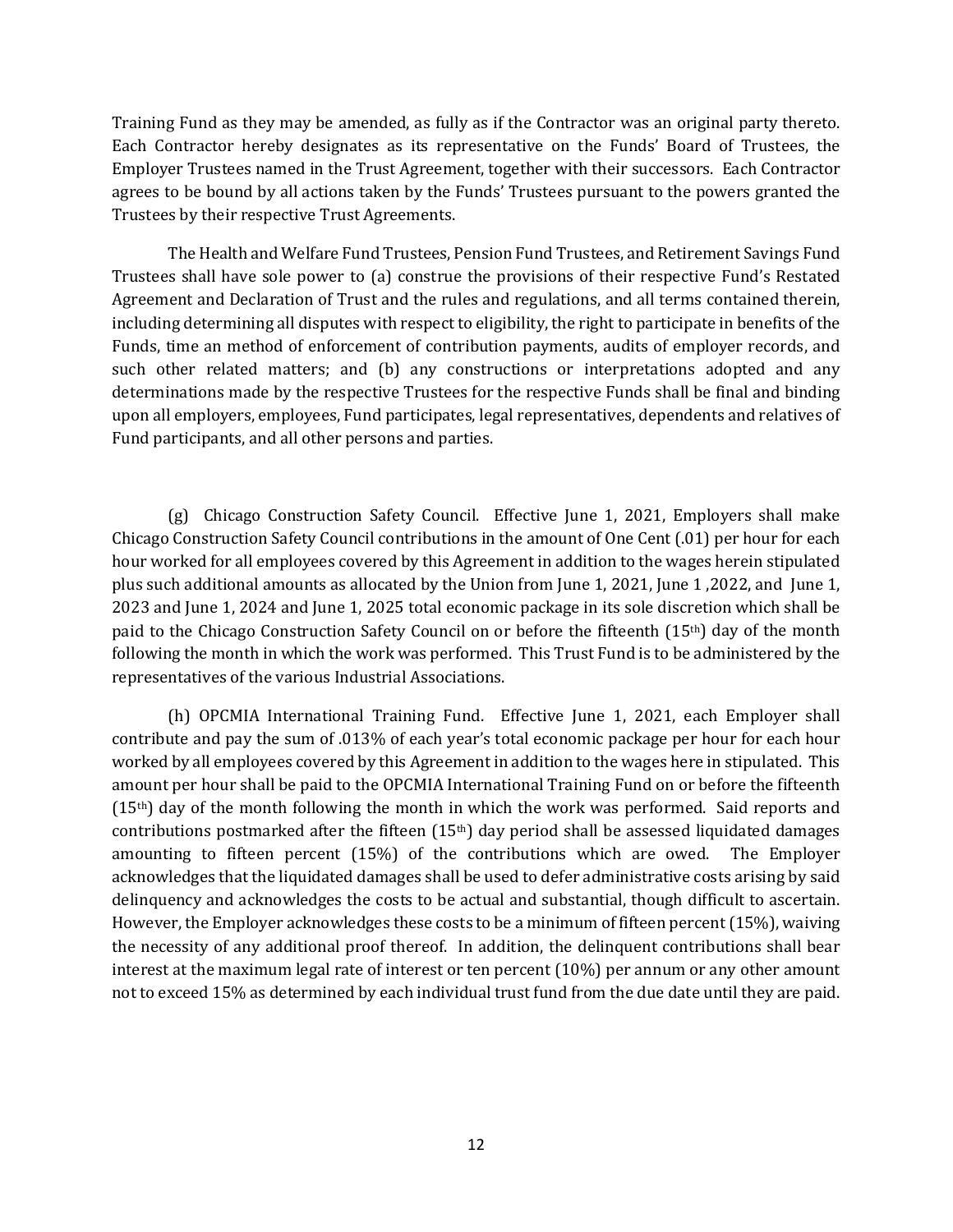Training Fund as they may be amended, as fully as if the Contractor was an original party thereto. Each Contractor hereby designates as its representative on the Funds' Board of Trustees, the Employer Trustees named in the Trust Agreement, together with their successors. Each Contractor agrees to be bound by all actions taken by the Funds' Trustees pursuant to the powers granted the Trustees by their respective Trust Agreements.

The Health and Welfare Fund Trustees, Pension Fund Trustees, and Retirement Savings Fund Trustees shall have sole power to (a) construe the provisions of their respective Fund's Restated Agreement and Declaration of Trust and the rules and regulations, and all terms contained therein, including determining all disputes with respect to eligibility, the right to participate in benefits of the Funds, time an method of enforcement of contribution payments, audits of employer records, and such other related matters; and (b) any constructions or interpretations adopted and any determinations made by the respective Trustees for the respective Funds shall be final and binding upon all employers, employees, Fund participates, legal representatives, dependents and relatives of Fund participants, and all other persons and parties.

(g) Chicago Construction Safety Council. Effective June 1, 2021, Employers shall make Chicago Construction Safety Council contributions in the amount of One Cent (.01) per hour for each hour worked for all employees covered by this Agreement in addition to the wages herein stipulated plus such additional amounts as allocated by the Union from June 1, 2021, June 1 ,2022, and June 1, 2023 and June 1, 2024 and June 1, 2025 total economic package in its sole discretion which shall be paid to the Chicago Construction Safety Council on or before the fifteenth  $(15<sup>th</sup>)$  day of the month following the month in which the work was performed. This Trust Fund is to be administered by the representatives of the various Industrial Associations.

(h) OPCMIA International Training Fund. Effective June 1, 2021, each Employer shall contribute and pay the sum of .013% of each year's total economic package per hour for each hour worked by all employees covered by this Agreement in addition to the wages here in stipulated. This amount per hour shall be paid to the OPCMIA International Training Fund on or before the fifteenth (15th) day of the month following the month in which the work was performed. Said reports and contributions postmarked after the fifteen  $(15<sup>th</sup>)$  day period shall be assessed liquidated damages amounting to fifteen percent (15%) of the contributions which are owed. The Employer acknowledges that the liquidated damages shall be used to defer administrative costs arising by said delinquency and acknowledges the costs to be actual and substantial, though difficult to ascertain. However, the Employer acknowledges these costs to be a minimum of fifteen percent (15%), waiving the necessity of any additional proof thereof. In addition, the delinquent contributions shall bear interest at the maximum legal rate of interest or ten percent (10%) per annum or any other amount not to exceed 15% as determined by each individual trust fund from the due date until they are paid.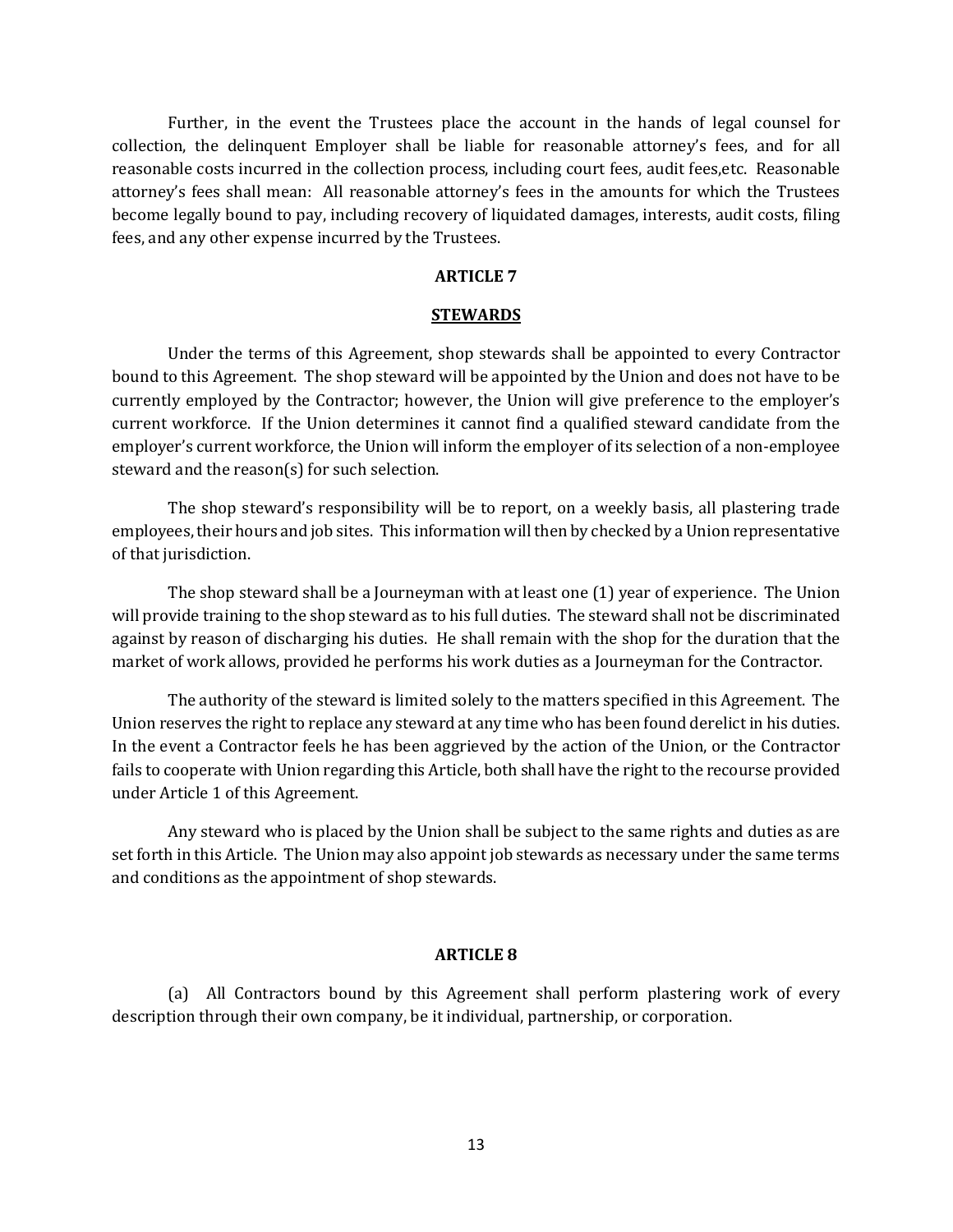Further, in the event the Trustees place the account in the hands of legal counsel for collection, the delinquent Employer shall be liable for reasonable attorney's fees, and for all reasonable costs incurred in the collection process, including court fees, audit fees,etc. Reasonable attorney's fees shall mean: All reasonable attorney's fees in the amounts for which the Trustees become legally bound to pay, including recovery of liquidated damages, interests, audit costs, filing fees, and any other expense incurred by the Trustees.

## **ARTICLE 7**

### **STEWARDS**

Under the terms of this Agreement, shop stewards shall be appointed to every Contractor bound to this Agreement. The shop steward will be appointed by the Union and does not have to be currently employed by the Contractor; however, the Union will give preference to the employer's current workforce. If the Union determines it cannot find a qualified steward candidate from the employer's current workforce, the Union will inform the employer of its selection of a non-employee steward and the reason(s) for such selection.

The shop steward's responsibility will be to report, on a weekly basis, all plastering trade employees, their hours and job sites. This information will then by checked by a Union representative of that jurisdiction.

The shop steward shall be a Journeyman with at least one (1) year of experience. The Union will provide training to the shop steward as to his full duties. The steward shall not be discriminated against by reason of discharging his duties. He shall remain with the shop for the duration that the market of work allows, provided he performs his work duties as a Journeyman for the Contractor.

The authority of the steward is limited solely to the matters specified in this Agreement. The Union reserves the right to replace any steward at any time who has been found derelict in his duties. In the event a Contractor feels he has been aggrieved by the action of the Union, or the Contractor fails to cooperate with Union regarding this Article, both shall have the right to the recourse provided under Article 1 of this Agreement.

Any steward who is placed by the Union shall be subject to the same rights and duties as are set forth in this Article. The Union may also appoint job stewards as necessary under the same terms and conditions as the appointment of shop stewards.

## **ARTICLE 8**

(a) All Contractors bound by this Agreement shall perform plastering work of every description through their own company, be it individual, partnership, or corporation.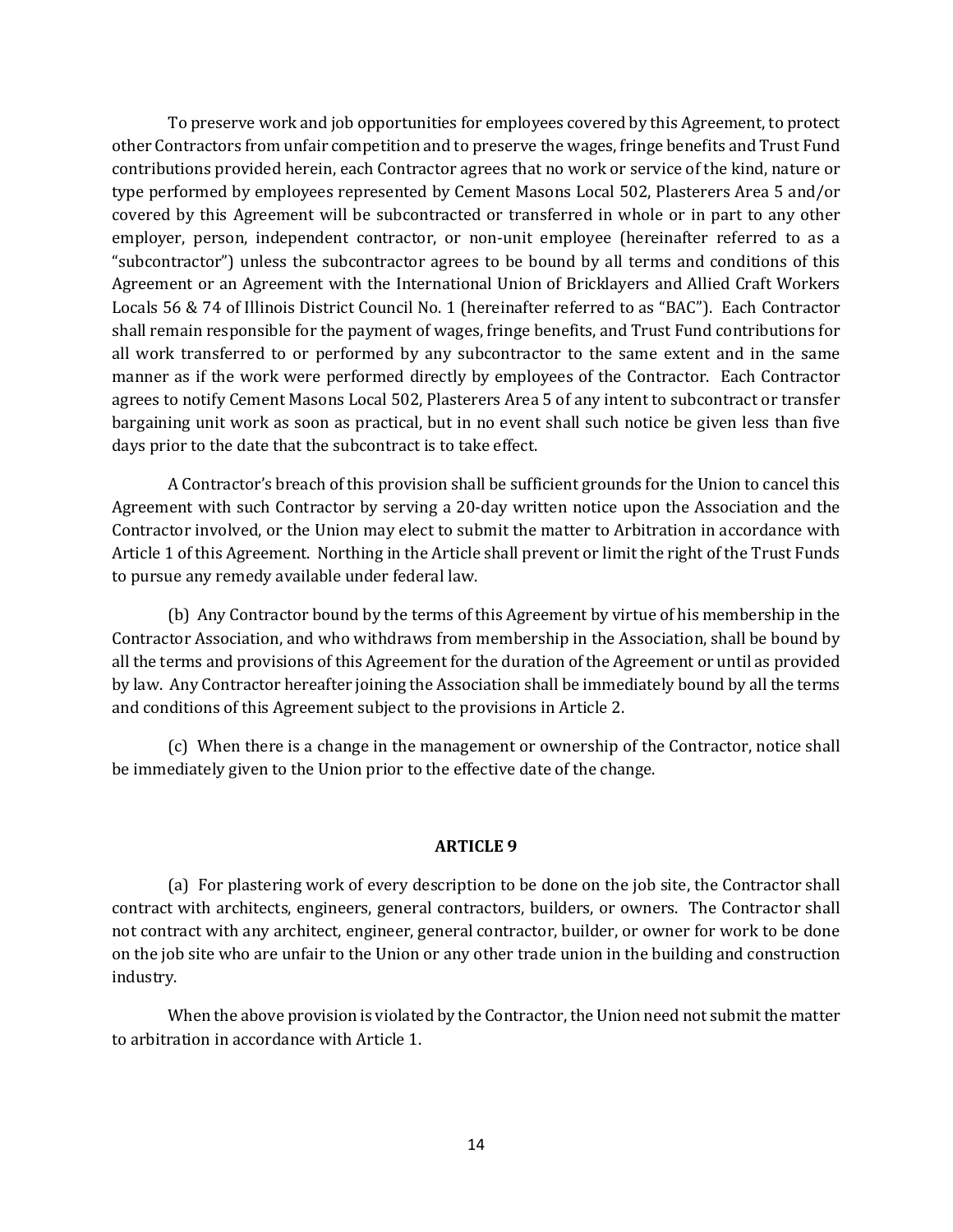To preserve work and job opportunities for employees covered by this Agreement, to protect other Contractors from unfair competition and to preserve the wages, fringe benefits and Trust Fund contributions provided herein, each Contractor agrees that no work or service of the kind, nature or type performed by employees represented by Cement Masons Local 502, Plasterers Area 5 and/or covered by this Agreement will be subcontracted or transferred in whole or in part to any other employer, person, independent contractor, or non-unit employee (hereinafter referred to as a "subcontractor") unless the subcontractor agrees to be bound by all terms and conditions of this Agreement or an Agreement with the International Union of Bricklayers and Allied Craft Workers Locals 56 & 74 of Illinois District Council No. 1 (hereinafter referred to as "BAC"). Each Contractor shall remain responsible for the payment of wages, fringe benefits, and Trust Fund contributions for all work transferred to or performed by any subcontractor to the same extent and in the same manner as if the work were performed directly by employees of the Contractor. Each Contractor agrees to notify Cement Masons Local 502, Plasterers Area 5 of any intent to subcontract or transfer bargaining unit work as soon as practical, but in no event shall such notice be given less than five days prior to the date that the subcontract is to take effect.

A Contractor's breach of this provision shall be sufficient grounds for the Union to cancel this Agreement with such Contractor by serving a 20-day written notice upon the Association and the Contractor involved, or the Union may elect to submit the matter to Arbitration in accordance with Article 1 of this Agreement. Northing in the Article shall prevent or limit the right of the Trust Funds to pursue any remedy available under federal law.

(b) Any Contractor bound by the terms of this Agreement by virtue of his membership in the Contractor Association, and who withdraws from membership in the Association, shall be bound by all the terms and provisions of this Agreement for the duration of the Agreement or until as provided by law. Any Contractor hereafter joining the Association shall be immediately bound by all the terms and conditions of this Agreement subject to the provisions in Article 2.

(c) When there is a change in the management or ownership of the Contractor, notice shall be immediately given to the Union prior to the effective date of the change.

## **ARTICLE 9**

(a) For plastering work of every description to be done on the job site, the Contractor shall contract with architects, engineers, general contractors, builders, or owners. The Contractor shall not contract with any architect, engineer, general contractor, builder, or owner for work to be done on the job site who are unfair to the Union or any other trade union in the building and construction industry.

When the above provision is violated by the Contractor, the Union need not submit the matter to arbitration in accordance with Article 1.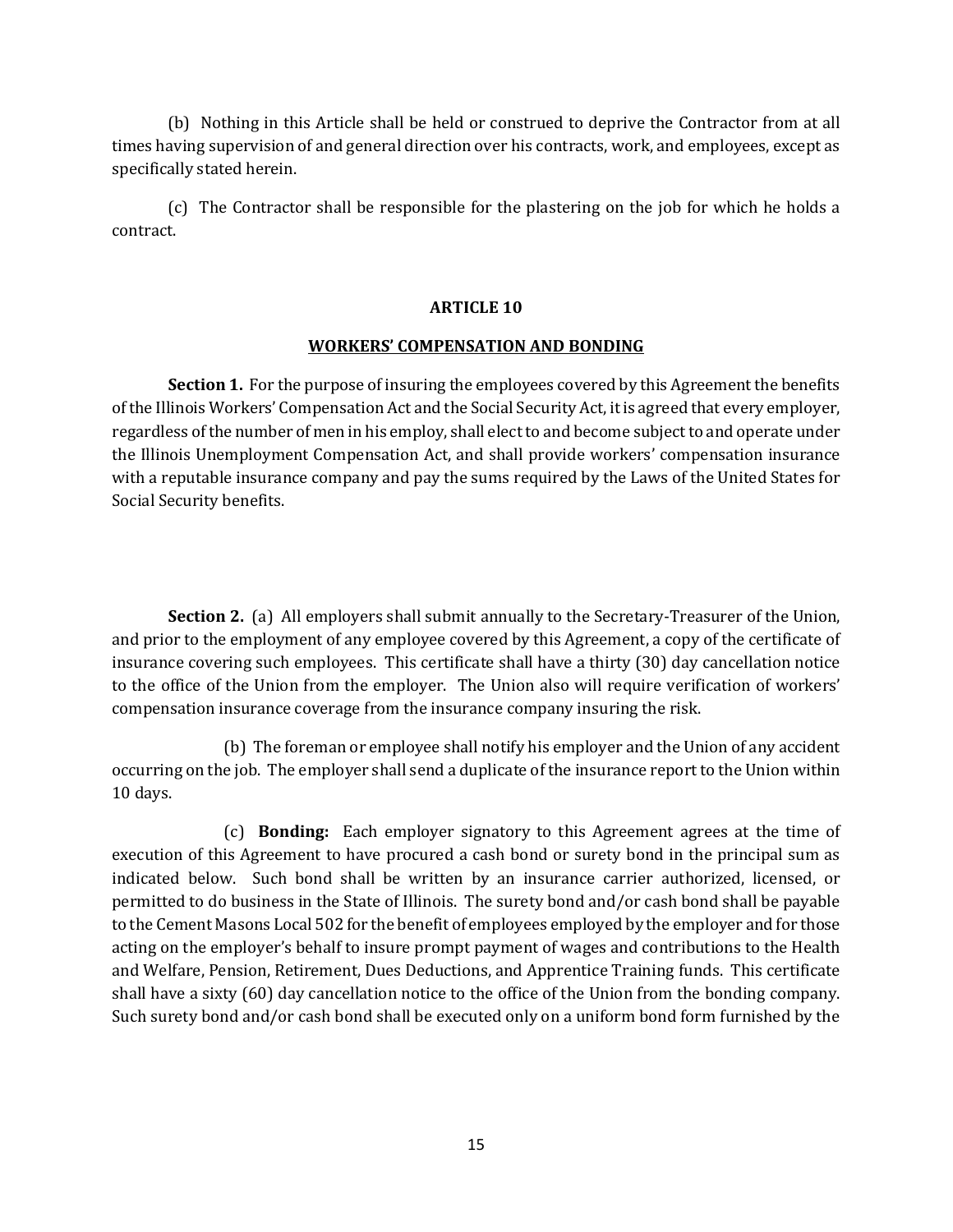(b) Nothing in this Article shall be held or construed to deprive the Contractor from at all times having supervision of and general direction over his contracts, work, and employees, except as specifically stated herein.

(c) The Contractor shall be responsible for the plastering on the job for which he holds a contract.

# **ARTICLE 10**

## **WORKERS' COMPENSATION AND BONDING**

**Section 1.** For the purpose of insuring the employees covered by this Agreement the benefits of the Illinois Workers' Compensation Act and the Social Security Act, it is agreed that every employer, regardless of the number of men in his employ, shall elect to and become subject to and operate under the Illinois Unemployment Compensation Act, and shall provide workers' compensation insurance with a reputable insurance company and pay the sums required by the Laws of the United States for Social Security benefits.

**Section 2.** (a) All employers shall submit annually to the Secretary-Treasurer of the Union, and prior to the employment of any employee covered by this Agreement, a copy of the certificate of insurance covering such employees. This certificate shall have a thirty (30) day cancellation notice to the office of the Union from the employer. The Union also will require verification of workers' compensation insurance coverage from the insurance company insuring the risk.

(b) The foreman or employee shall notify his employer and the Union of any accident occurring on the job. The employer shall send a duplicate of the insurance report to the Union within 10 days.

(c) **Bonding:** Each employer signatory to this Agreement agrees at the time of execution of this Agreement to have procured a cash bond or surety bond in the principal sum as indicated below. Such bond shall be written by an insurance carrier authorized, licensed, or permitted to do business in the State of Illinois. The surety bond and/or cash bond shall be payable to the Cement Masons Local 502 for the benefit of employees employed by the employer and for those acting on the employer's behalf to insure prompt payment of wages and contributions to the Health and Welfare, Pension, Retirement, Dues Deductions, and Apprentice Training funds. This certificate shall have a sixty (60) day cancellation notice to the office of the Union from the bonding company. Such surety bond and/or cash bond shall be executed only on a uniform bond form furnished by the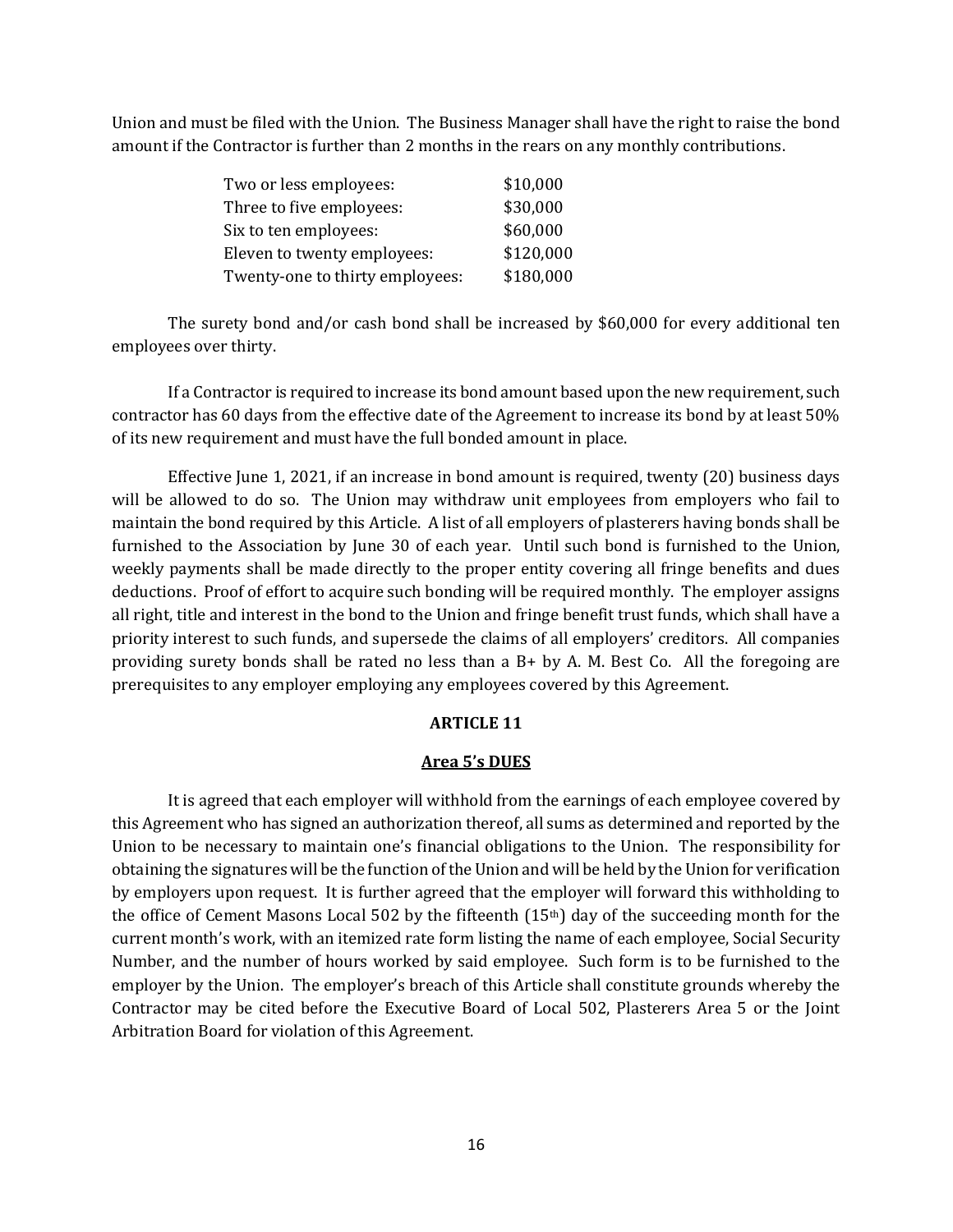Union and must be filed with the Union. The Business Manager shall have the right to raise the bond amount if the Contractor is further than 2 months in the rears on any monthly contributions.

| Two or less employees:          | \$10,000  |
|---------------------------------|-----------|
| Three to five employees:        | \$30,000  |
| Six to ten employees:           | \$60,000  |
| Eleven to twenty employees:     | \$120,000 |
| Twenty-one to thirty employees: | \$180,000 |

The surety bond and/or cash bond shall be increased by \$60,000 for every additional ten employees over thirty.

If a Contractor is required to increase its bond amount based upon the new requirement, such contractor has 60 days from the effective date of the Agreement to increase its bond by at least 50% of its new requirement and must have the full bonded amount in place.

Effective June 1, 2021, if an increase in bond amount is required, twenty (20) business days will be allowed to do so. The Union may withdraw unit employees from employers who fail to maintain the bond required by this Article. A list of all employers of plasterers having bonds shall be furnished to the Association by June 30 of each year. Until such bond is furnished to the Union, weekly payments shall be made directly to the proper entity covering all fringe benefits and dues deductions. Proof of effort to acquire such bonding will be required monthly. The employer assigns all right, title and interest in the bond to the Union and fringe benefit trust funds, which shall have a priority interest to such funds, and supersede the claims of all employers' creditors. All companies providing surety bonds shall be rated no less than a B+ by A. M. Best Co. All the foregoing are prerequisites to any employer employing any employees covered by this Agreement.

## **ARTICLE 11**

## **Area 5's DUES**

It is agreed that each employer will withhold from the earnings of each employee covered by this Agreement who has signed an authorization thereof, all sums as determined and reported by the Union to be necessary to maintain one's financial obligations to the Union. The responsibility for obtaining the signatures will be the function of the Union and will be held by the Union for verification by employers upon request. It is further agreed that the employer will forward this withholding to the office of Cement Masons Local 502 by the fifteenth (15th) day of the succeeding month for the current month's work, with an itemized rate form listing the name of each employee, Social Security Number, and the number of hours worked by said employee. Such form is to be furnished to the employer by the Union. The employer's breach of this Article shall constitute grounds whereby the Contractor may be cited before the Executive Board of Local 502, Plasterers Area 5 or the Joint Arbitration Board for violation of this Agreement.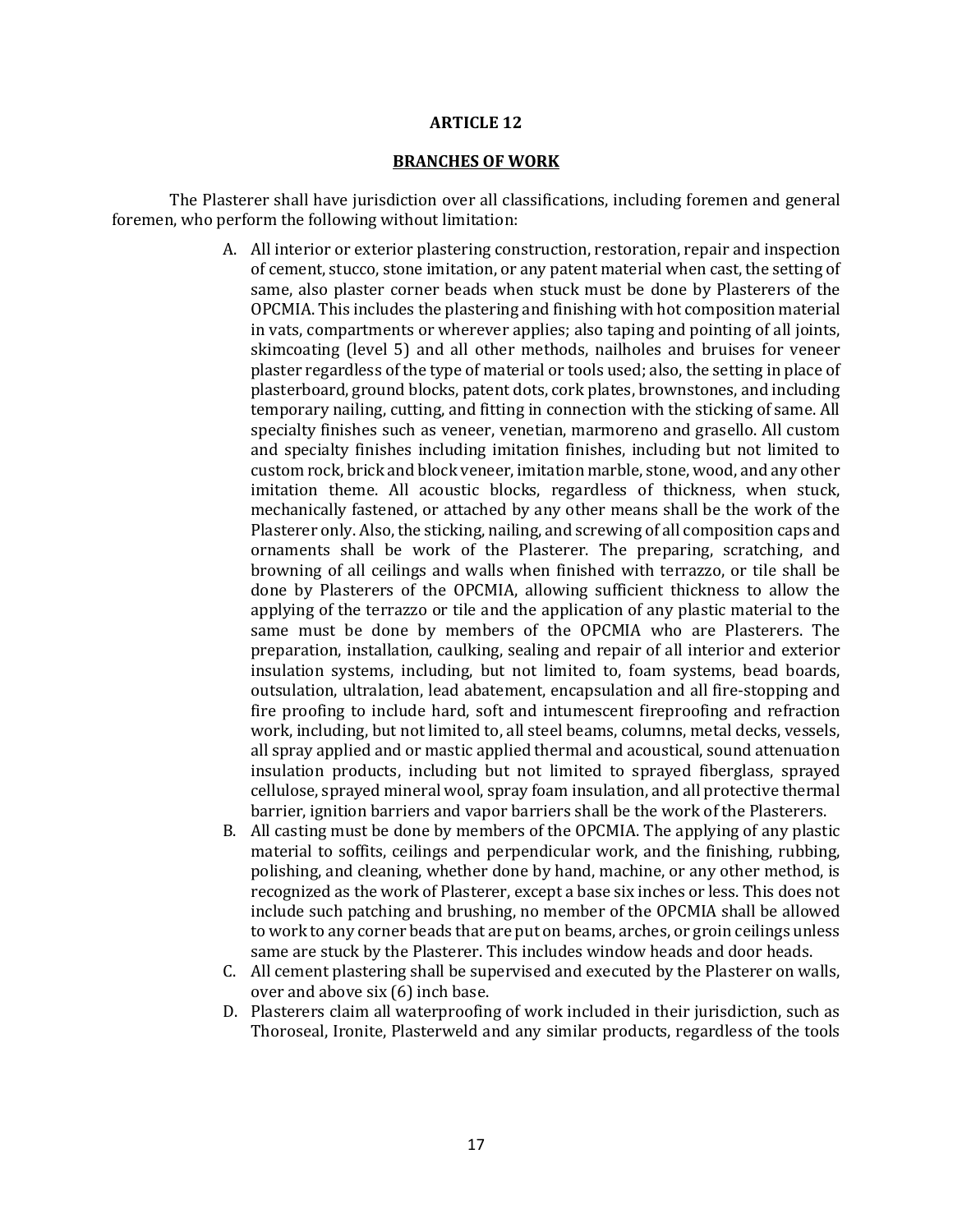### **ARTICLE 12**

### **BRANCHES OF WORK**

The Plasterer shall have jurisdiction over all classifications, including foremen and general foremen, who perform the following without limitation:

- A. All interior or exterior plastering construction, restoration, repair and inspection of cement, stucco, stone imitation, or any patent material when cast, the setting of same, also plaster corner beads when stuck must be done by Plasterers of the OPCMIA. This includes the plastering and finishing with hot composition material in vats, compartments or wherever applies; also taping and pointing of all joints, skimcoating (level 5) and all other methods, nailholes and bruises for veneer plaster regardless of the type of material or tools used; also, the setting in place of plasterboard, ground blocks, patent dots, cork plates, brownstones, and including temporary nailing, cutting, and fitting in connection with the sticking of same. All specialty finishes such as veneer, venetian, marmoreno and grasello. All custom and specialty finishes including imitation finishes, including but not limited to custom rock, brick and block veneer, imitation marble, stone, wood, and any other imitation theme. All acoustic blocks, regardless of thickness, when stuck, mechanically fastened, or attached by any other means shall be the work of the Plasterer only. Also, the sticking, nailing, and screwing of all composition caps and ornaments shall be work of the Plasterer. The preparing, scratching, and browning of all ceilings and walls when finished with terrazzo, or tile shall be done by Plasterers of the OPCMIA, allowing sufficient thickness to allow the applying of the terrazzo or tile and the application of any plastic material to the same must be done by members of the OPCMIA who are Plasterers. The preparation, installation, caulking, sealing and repair of all interior and exterior insulation systems, including, but not limited to, foam systems, bead boards, outsulation, ultralation, lead abatement, encapsulation and all fire-stopping and fire proofing to include hard, soft and intumescent fireproofing and refraction work, including, but not limited to, all steel beams, columns, metal decks, vessels, all spray applied and or mastic applied thermal and acoustical, sound attenuation insulation products, including but not limited to sprayed fiberglass, sprayed cellulose, sprayed mineral wool, spray foam insulation, and all protective thermal barrier, ignition barriers and vapor barriers shall be the work of the Plasterers.
- B. All casting must be done by members of the OPCMIA. The applying of any plastic material to soffits, ceilings and perpendicular work, and the finishing, rubbing, polishing, and cleaning, whether done by hand, machine, or any other method, is recognized as the work of Plasterer, except a base six inches or less. This does not include such patching and brushing, no member of the OPCMIA shall be allowed to work to any corner beads that are put on beams, arches, or groin ceilings unless same are stuck by the Plasterer. This includes window heads and door heads.
- C. All cement plastering shall be supervised and executed by the Plasterer on walls, over and above six (6) inch base.
- D. Plasterers claim all waterproofing of work included in their jurisdiction, such as Thoroseal, Ironite, Plasterweld and any similar products, regardless of the tools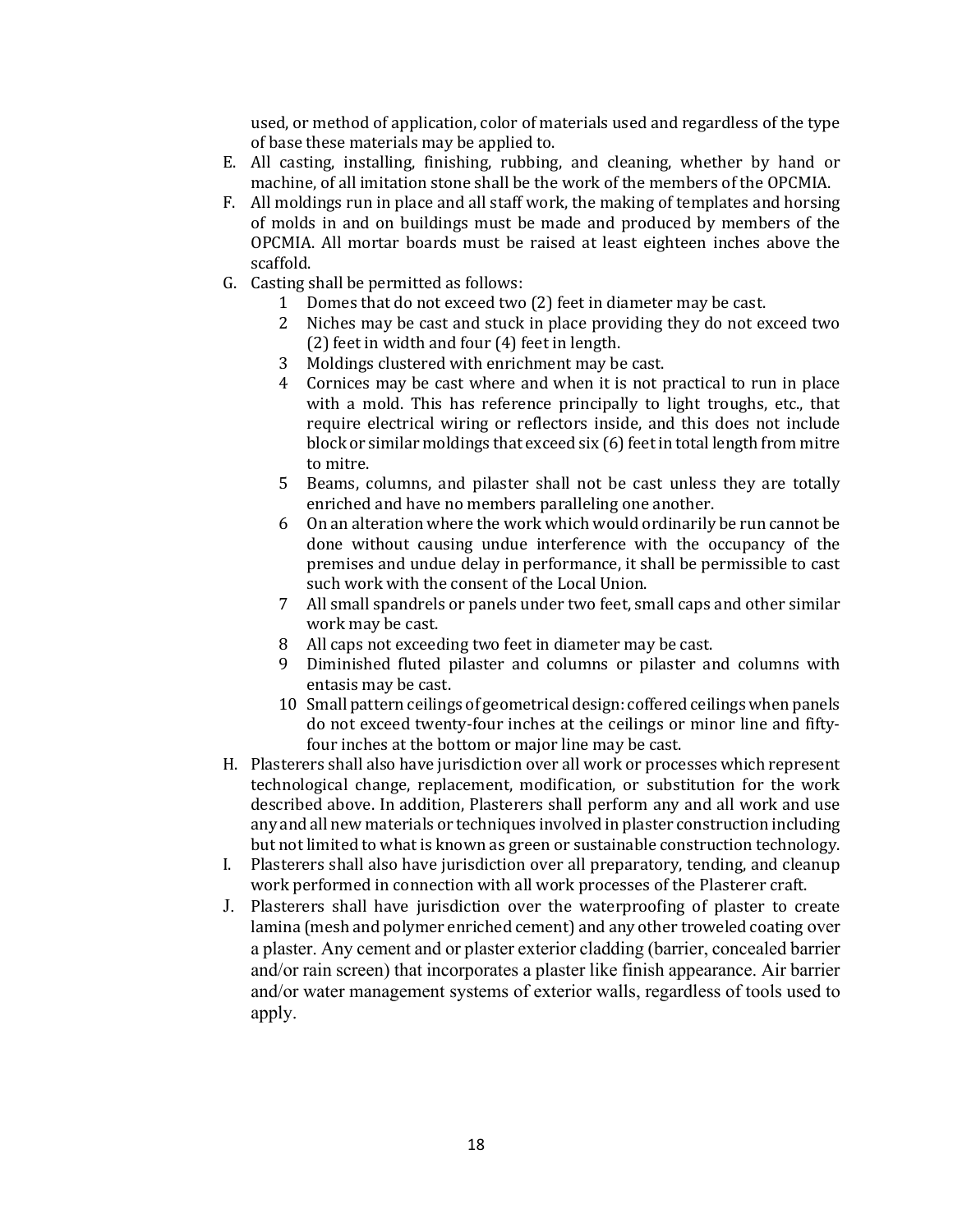used, or method of application, color of materials used and regardless of the type of base these materials may be applied to.

- E. All casting, installing, finishing, rubbing, and cleaning, whether by hand or machine, of all imitation stone shall be the work of the members of the OPCMIA.
- F. All moldings run in place and all staff work, the making of templates and horsing of molds in and on buildings must be made and produced by members of the OPCMIA. All mortar boards must be raised at least eighteen inches above the scaffold.
- G. Casting shall be permitted as follows:
	- 1 Domes that do not exceed two (2) feet in diameter may be cast.<br>2 Niches may be cast and stuck in place providing they do not ex
	- 2 Niches may be cast and stuck in place providing they do not exceed two (2) feet in width and four (4) feet in length.
	- 3 Moldings clustered with enrichment may be cast.
	- 4 Cornices may be cast where and when it is not practical to run in place with a mold. This has reference principally to light troughs, etc., that require electrical wiring or reflectors inside, and this does not include block or similar moldings that exceed six (6) feet in total length from mitre to mitre.
	- 5 Beams, columns, and pilaster shall not be cast unless they are totally enriched and have no members paralleling one another.
	- 6 On an alteration where the work which would ordinarily be run cannot be done without causing undue interference with the occupancy of the premises and undue delay in performance, it shall be permissible to cast such work with the consent of the Local Union.
	- 7 All small spandrels or panels under two feet, small caps and other similar work may be cast.
	- 8 All caps not exceeding two feet in diameter may be cast.
	- 9 Diminished fluted pilaster and columns or pilaster and columns with entasis may be cast.
	- 10 Small pattern ceilings of geometrical design: coffered ceilings when panels do not exceed twenty-four inches at the ceilings or minor line and fiftyfour inches at the bottom or major line may be cast.
- H. Plasterers shall also have jurisdiction over all work or processes which represent technological change, replacement, modification, or substitution for the work described above. In addition, Plasterers shall perform any and all work and use any and all new materials or techniques involved in plaster construction including but not limited to what is known as green or sustainable construction technology.
- I. Plasterers shall also have jurisdiction over all preparatory, tending, and cleanup work performed in connection with all work processes of the Plasterer craft.
- J. Plasterers shall have jurisdiction over the waterproofing of plaster to create lamina (mesh and polymer enriched cement) and any other troweled coating over a plaster. Any cement and or plaster exterior cladding (barrier, concealed barrier and/or rain screen) that incorporates a plaster like finish appearance. Air barrier and/or water management systems of exterior walls, regardless of tools used to apply.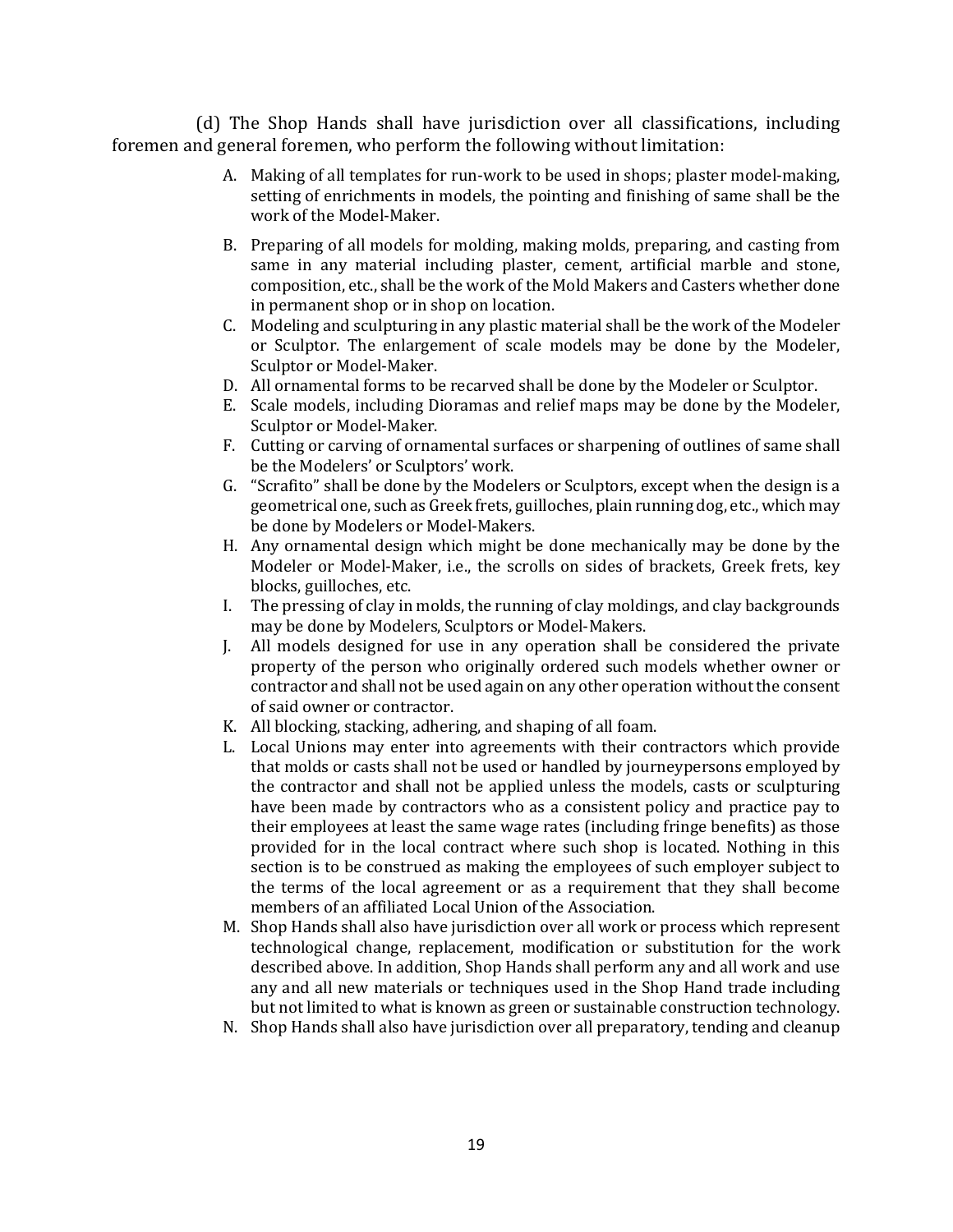(d) The Shop Hands shall have jurisdiction over all classifications, including foremen and general foremen, who perform the following without limitation:

- A. Making of all templates for run-work to be used in shops; plaster model-making, setting of enrichments in models, the pointing and finishing of same shall be the work of the Model-Maker.
- B. Preparing of all models for molding, making molds, preparing, and casting from same in any material including plaster, cement, artificial marble and stone, composition, etc., shall be the work of the Mold Makers and Casters whether done in permanent shop or in shop on location.
- C. Modeling and sculpturing in any plastic material shall be the work of the Modeler or Sculptor. The enlargement of scale models may be done by the Modeler, Sculptor or Model-Maker.
- D. All ornamental forms to be recarved shall be done by the Modeler or Sculptor.
- E. Scale models, including Dioramas and relief maps may be done by the Modeler, Sculptor or Model-Maker.
- F. Cutting or carving of ornamental surfaces or sharpening of outlines of same shall be the Modelers' or Sculptors' work.
- G. "Scrafito" shall be done by the Modelers or Sculptors, except when the design is a geometrical one, such as Greek frets, guilloches, plain running dog, etc., which may be done by Modelers or Model-Makers.
- H. Any ornamental design which might be done mechanically may be done by the Modeler or Model-Maker, i.e., the scrolls on sides of brackets, Greek frets, key blocks, guilloches, etc.
- I. The pressing of clay in molds, the running of clay moldings, and clay backgrounds may be done by Modelers, Sculptors or Model-Makers.
- J. All models designed for use in any operation shall be considered the private property of the person who originally ordered such models whether owner or contractor and shall not be used again on any other operation without the consent of said owner or contractor.
- K. All blocking, stacking, adhering, and shaping of all foam.
- L. Local Unions may enter into agreements with their contractors which provide that molds or casts shall not be used or handled by journeypersons employed by the contractor and shall not be applied unless the models, casts or sculpturing have been made by contractors who as a consistent policy and practice pay to their employees at least the same wage rates (including fringe benefits) as those provided for in the local contract where such shop is located. Nothing in this section is to be construed as making the employees of such employer subject to the terms of the local agreement or as a requirement that they shall become members of an affiliated Local Union of the Association.
- M. Shop Hands shall also have jurisdiction over all work or process which represent technological change, replacement, modification or substitution for the work described above. In addition, Shop Hands shall perform any and all work and use any and all new materials or techniques used in the Shop Hand trade including but not limited to what is known as green or sustainable construction technology.
- N. Shop Hands shall also have jurisdiction over all preparatory, tending and cleanup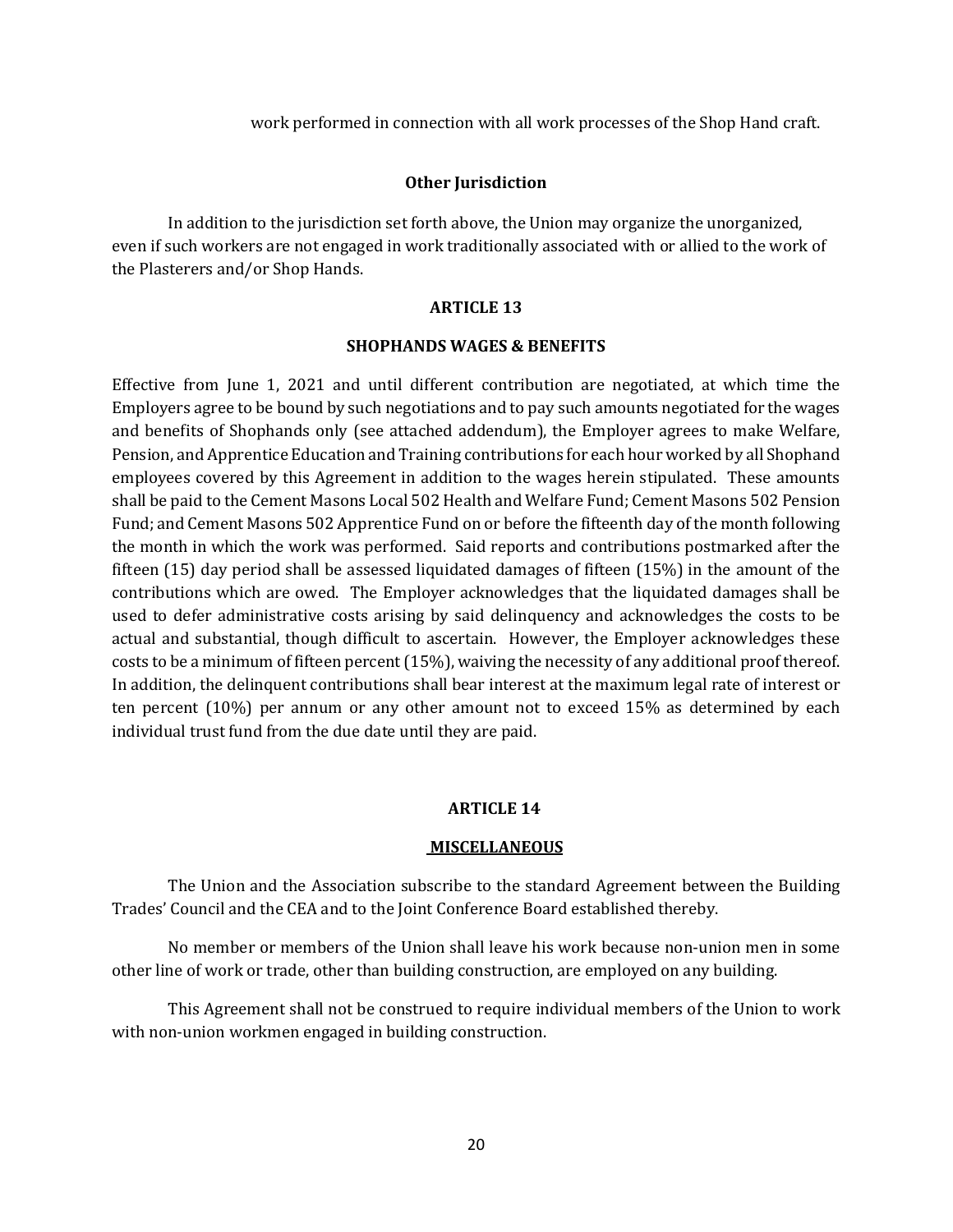work performed in connection with all work processes of the Shop Hand craft.

## **Other Jurisdiction**

In addition to the jurisdiction set forth above, the Union may organize the unorganized, even if such workers are not engaged in work traditionally associated with or allied to the work of the Plasterers and/or Shop Hands.

## **ARTICLE 13**

## **SHOPHANDS WAGES & BENEFITS**

Effective from June 1, 2021 and until different contribution are negotiated, at which time the Employers agree to be bound by such negotiations and to pay such amounts negotiated for the wages and benefits of Shophands only (see attached addendum), the Employer agrees to make Welfare, Pension, and Apprentice Education and Training contributions for each hour worked by all Shophand employees covered by this Agreement in addition to the wages herein stipulated. These amounts shall be paid to the Cement Masons Local 502 Health and Welfare Fund; Cement Masons 502 Pension Fund; and Cement Masons 502 Apprentice Fund on or before the fifteenth day of the month following the month in which the work was performed. Said reports and contributions postmarked after the fifteen (15) day period shall be assessed liquidated damages of fifteen (15%) in the amount of the contributions which are owed. The Employer acknowledges that the liquidated damages shall be used to defer administrative costs arising by said delinquency and acknowledges the costs to be actual and substantial, though difficult to ascertain. However, the Employer acknowledges these costs to be a minimum of fifteen percent (15%), waiving the necessity of any additional proof thereof. In addition, the delinquent contributions shall bear interest at the maximum legal rate of interest or ten percent (10%) per annum or any other amount not to exceed 15% as determined by each individual trust fund from the due date until they are paid.

#### **ARTICLE 14**

#### **MISCELLANEOUS**

The Union and the Association subscribe to the standard Agreement between the Building Trades' Council and the CEA and to the Joint Conference Board established thereby.

No member or members of the Union shall leave his work because non-union men in some other line of work or trade, other than building construction, are employed on any building.

This Agreement shall not be construed to require individual members of the Union to work with non-union workmen engaged in building construction.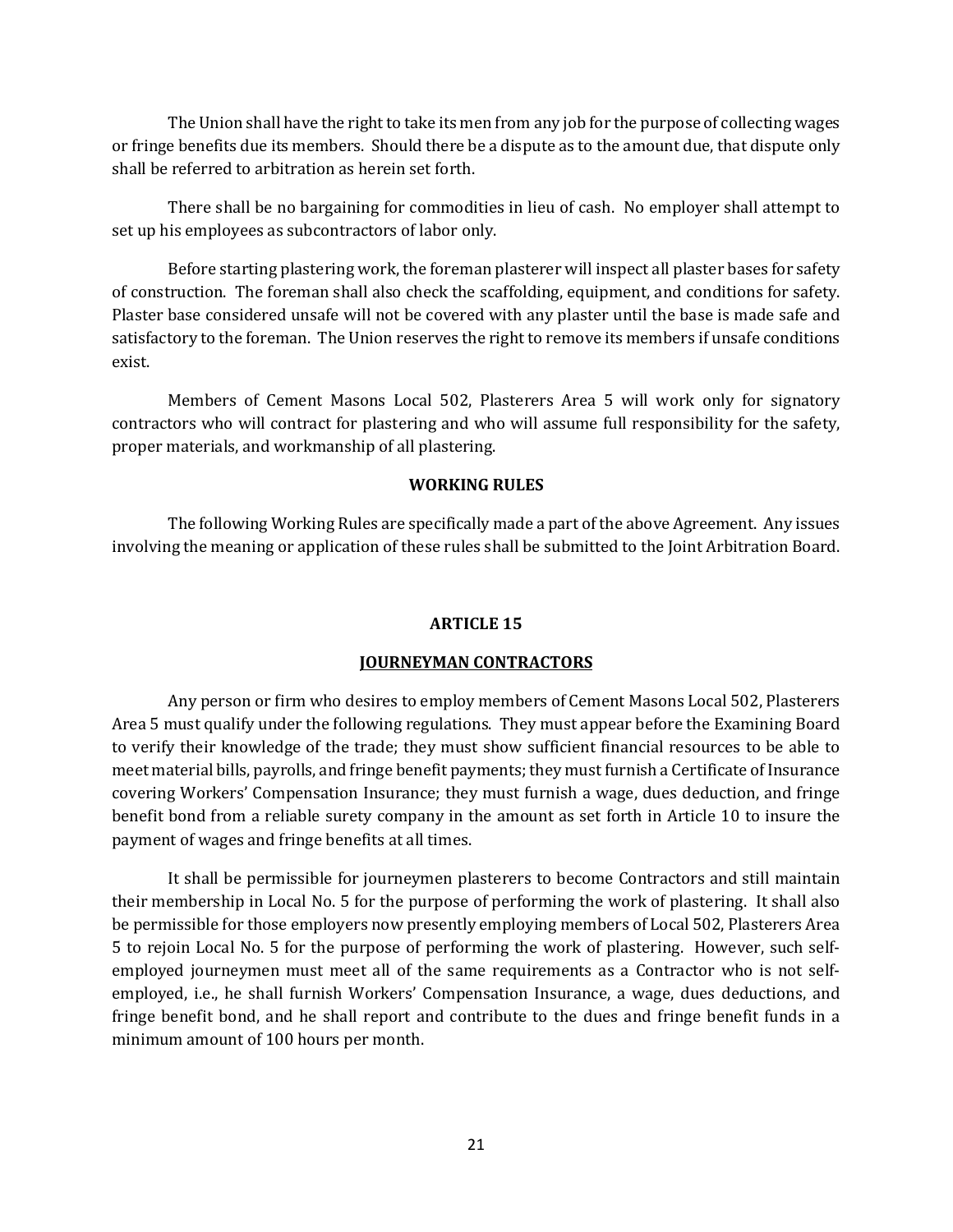The Union shall have the right to take its men from any job for the purpose of collecting wages or fringe benefits due its members. Should there be a dispute as to the amount due, that dispute only shall be referred to arbitration as herein set forth.

There shall be no bargaining for commodities in lieu of cash. No employer shall attempt to set up his employees as subcontractors of labor only.

Before starting plastering work, the foreman plasterer will inspect all plaster bases for safety of construction. The foreman shall also check the scaffolding, equipment, and conditions for safety. Plaster base considered unsafe will not be covered with any plaster until the base is made safe and satisfactory to the foreman. The Union reserves the right to remove its members if unsafe conditions exist.

Members of Cement Masons Local 502, Plasterers Area 5 will work only for signatory contractors who will contract for plastering and who will assume full responsibility for the safety, proper materials, and workmanship of all plastering.

# **WORKING RULES**

The following Working Rules are specifically made a part of the above Agreement. Any issues involving the meaning or application of these rules shall be submitted to the Joint Arbitration Board.

# **ARTICLE 15**

# **JOURNEYMAN CONTRACTORS**

Any person or firm who desires to employ members of Cement Masons Local 502, Plasterers Area 5 must qualify under the following regulations. They must appear before the Examining Board to verify their knowledge of the trade; they must show sufficient financial resources to be able to meet material bills, payrolls, and fringe benefit payments; they must furnish a Certificate of Insurance covering Workers' Compensation Insurance; they must furnish a wage, dues deduction, and fringe benefit bond from a reliable surety company in the amount as set forth in Article 10 to insure the payment of wages and fringe benefits at all times.

It shall be permissible for journeymen plasterers to become Contractors and still maintain their membership in Local No. 5 for the purpose of performing the work of plastering. It shall also be permissible for those employers now presently employing members of Local 502, Plasterers Area 5 to rejoin Local No. 5 for the purpose of performing the work of plastering. However, such selfemployed journeymen must meet all of the same requirements as a Contractor who is not selfemployed, i.e., he shall furnish Workers' Compensation Insurance, a wage, dues deductions, and fringe benefit bond, and he shall report and contribute to the dues and fringe benefit funds in a minimum amount of 100 hours per month.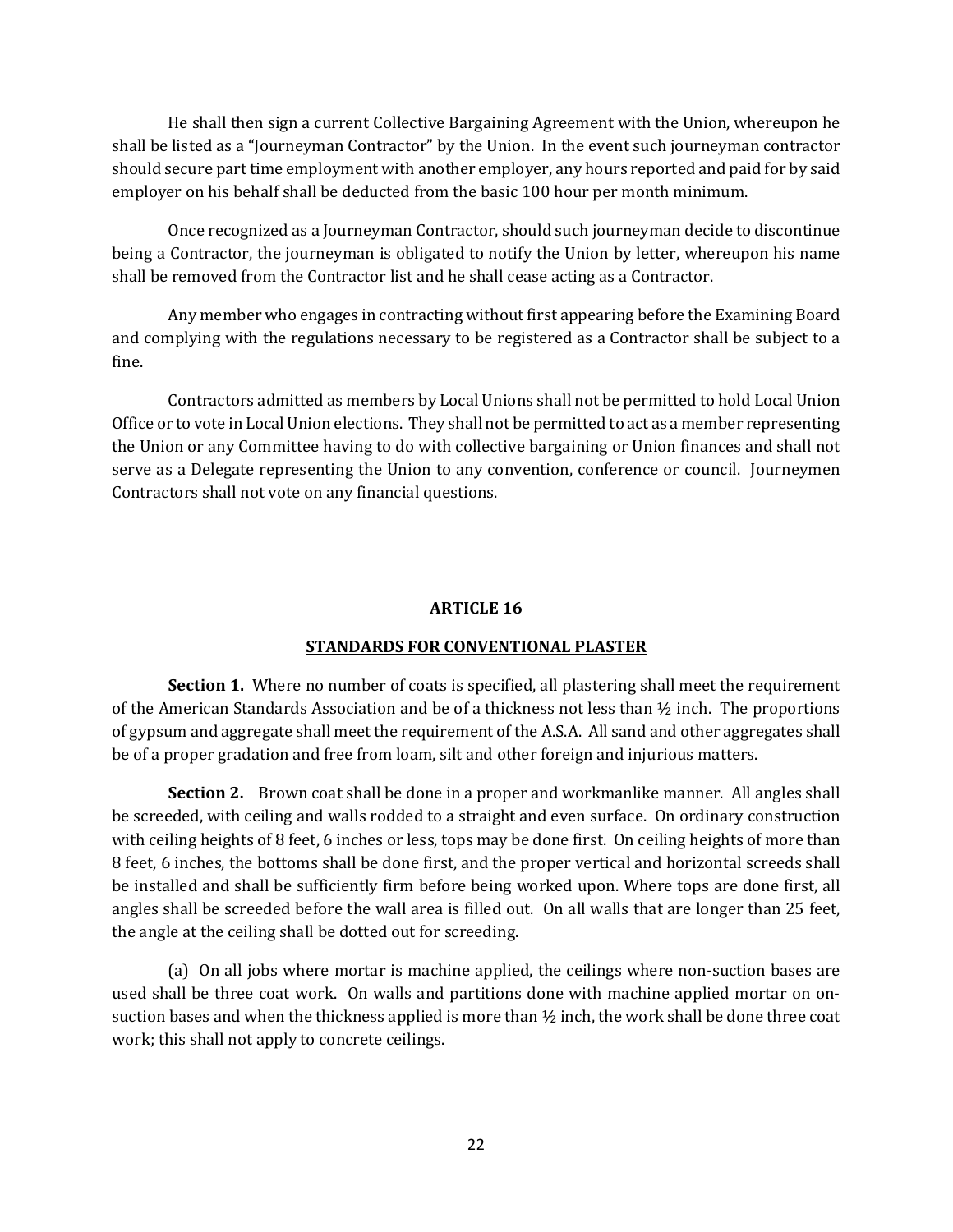He shall then sign a current Collective Bargaining Agreement with the Union, whereupon he shall be listed as a "Journeyman Contractor" by the Union. In the event such journeyman contractor should secure part time employment with another employer, any hours reported and paid for by said employer on his behalf shall be deducted from the basic 100 hour per month minimum.

Once recognized as a Journeyman Contractor, should such journeyman decide to discontinue being a Contractor, the journeyman is obligated to notify the Union by letter, whereupon his name shall be removed from the Contractor list and he shall cease acting as a Contractor.

Any member who engages in contracting without first appearing before the Examining Board and complying with the regulations necessary to be registered as a Contractor shall be subject to a fine.

Contractors admitted as members by Local Unions shall not be permitted to hold Local Union Office or to vote in Local Union elections. They shall not be permitted to act as a member representing the Union or any Committee having to do with collective bargaining or Union finances and shall not serve as a Delegate representing the Union to any convention, conference or council. Journeymen Contractors shall not vote on any financial questions.

# **ARTICLE 16**

# **STANDARDS FOR CONVENTIONAL PLASTER**

**Section 1.** Where no number of coats is specified, all plastering shall meet the requirement of the American Standards Association and be of a thickness not less than  $\frac{1}{2}$  inch. The proportions of gypsum and aggregate shall meet the requirement of the A.S.A. All sand and other aggregates shall be of a proper gradation and free from loam, silt and other foreign and injurious matters.

**Section 2.** Brown coat shall be done in a proper and workmanlike manner. All angles shall be screeded, with ceiling and walls rodded to a straight and even surface. On ordinary construction with ceiling heights of 8 feet, 6 inches or less, tops may be done first. On ceiling heights of more than 8 feet, 6 inches, the bottoms shall be done first, and the proper vertical and horizontal screeds shall be installed and shall be sufficiently firm before being worked upon. Where tops are done first, all angles shall be screeded before the wall area is filled out. On all walls that are longer than 25 feet, the angle at the ceiling shall be dotted out for screeding.

(a) On all jobs where mortar is machine applied, the ceilings where non-suction bases are used shall be three coat work. On walls and partitions done with machine applied mortar on onsuction bases and when the thickness applied is more than  $\frac{1}{2}$  inch, the work shall be done three coat work; this shall not apply to concrete ceilings.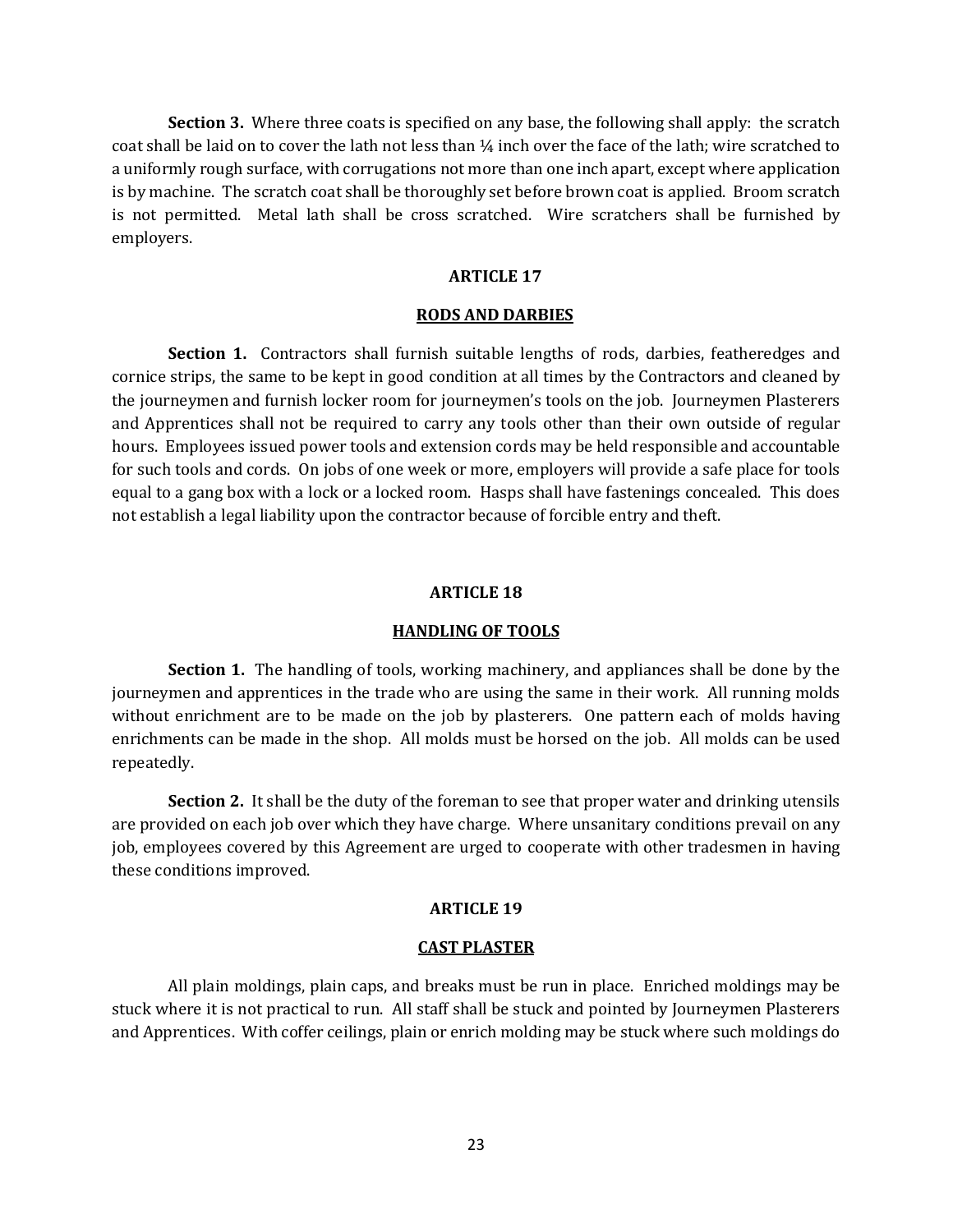**Section 3.** Where three coats is specified on any base, the following shall apply: the scratch coat shall be laid on to cover the lath not less than ¼ inch over the face of the lath; wire scratched to a uniformly rough surface, with corrugations not more than one inch apart, except where application is by machine. The scratch coat shall be thoroughly set before brown coat is applied. Broom scratch is not permitted. Metal lath shall be cross scratched. Wire scratchers shall be furnished by employers.

### **ARTICLE 17**

#### **RODS AND DARBIES**

**Section 1.** Contractors shall furnish suitable lengths of rods, darbies, featheredges and cornice strips, the same to be kept in good condition at all times by the Contractors and cleaned by the journeymen and furnish locker room for journeymen's tools on the job. Journeymen Plasterers and Apprentices shall not be required to carry any tools other than their own outside of regular hours. Employees issued power tools and extension cords may be held responsible and accountable for such tools and cords. On jobs of one week or more, employers will provide a safe place for tools equal to a gang box with a lock or a locked room. Hasps shall have fastenings concealed. This does not establish a legal liability upon the contractor because of forcible entry and theft.

#### **ARTICLE 18**

#### **HANDLING OF TOOLS**

**Section 1.** The handling of tools, working machinery, and appliances shall be done by the journeymen and apprentices in the trade who are using the same in their work. All running molds without enrichment are to be made on the job by plasterers. One pattern each of molds having enrichments can be made in the shop. All molds must be horsed on the job. All molds can be used repeatedly.

**Section 2.** It shall be the duty of the foreman to see that proper water and drinking utensils are provided on each job over which they have charge. Where unsanitary conditions prevail on any job, employees covered by this Agreement are urged to cooperate with other tradesmen in having these conditions improved.

# **ARTICLE 19**

#### **CAST PLASTER**

All plain moldings, plain caps, and breaks must be run in place. Enriched moldings may be stuck where it is not practical to run. All staff shall be stuck and pointed by Journeymen Plasterers and Apprentices. With coffer ceilings, plain or enrich molding may be stuck where such moldings do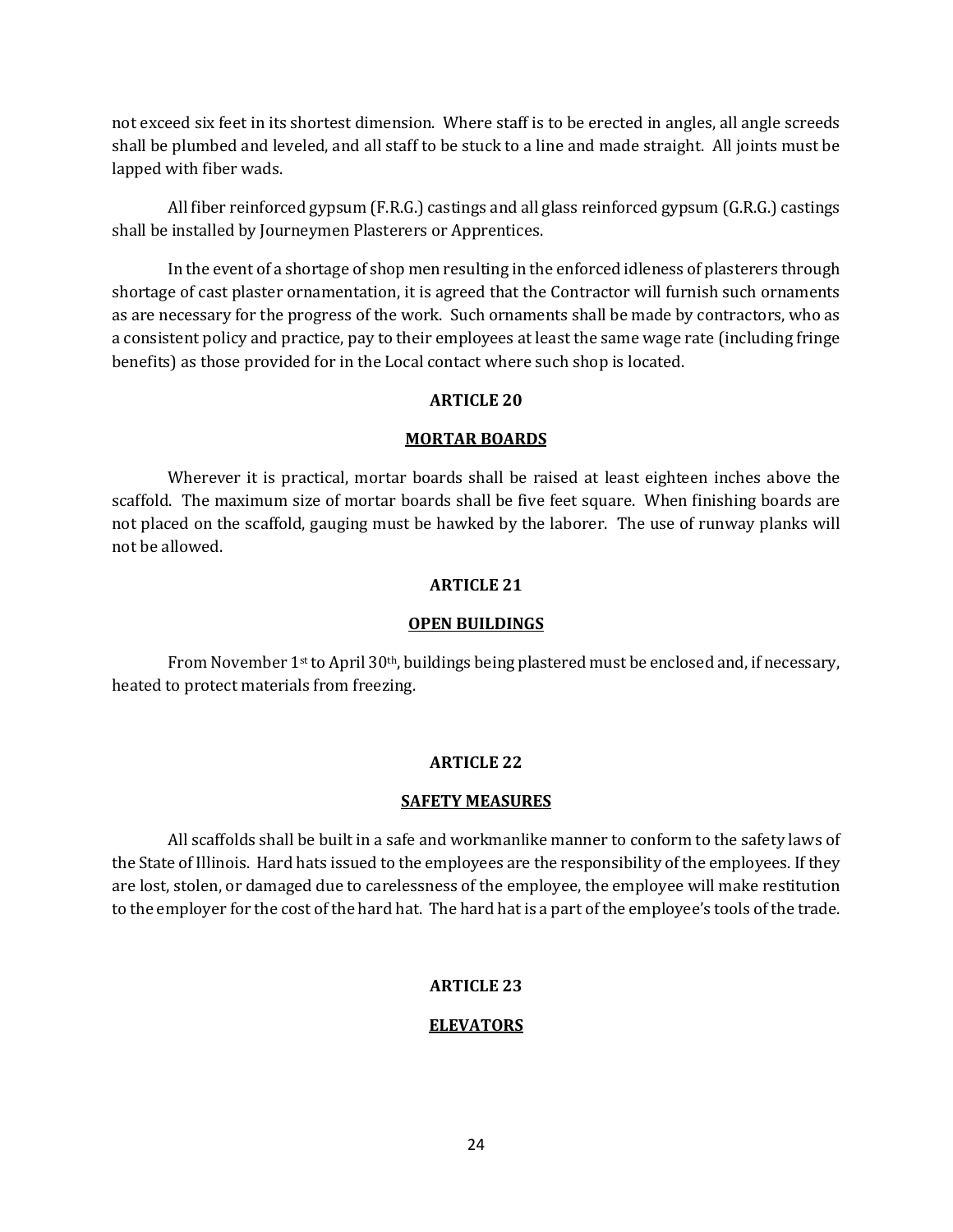not exceed six feet in its shortest dimension. Where staff is to be erected in angles, all angle screeds shall be plumbed and leveled, and all staff to be stuck to a line and made straight. All joints must be lapped with fiber wads.

All fiber reinforced gypsum (F.R.G.) castings and all glass reinforced gypsum (G.R.G.) castings shall be installed by Journeymen Plasterers or Apprentices.

In the event of a shortage of shop men resulting in the enforced idleness of plasterers through shortage of cast plaster ornamentation, it is agreed that the Contractor will furnish such ornaments as are necessary for the progress of the work. Such ornaments shall be made by contractors, who as a consistent policy and practice, pay to their employees at least the same wage rate (including fringe benefits) as those provided for in the Local contact where such shop is located.

# **ARTICLE 20**

# **MORTAR BOARDS**

Wherever it is practical, mortar boards shall be raised at least eighteen inches above the scaffold. The maximum size of mortar boards shall be five feet square. When finishing boards are not placed on the scaffold, gauging must be hawked by the laborer. The use of runway planks will not be allowed.

# **ARTICLE 21**

# **OPEN BUILDINGS**

From November 1<sup>st</sup> to April 30<sup>th</sup>, buildings being plastered must be enclosed and, if necessary, heated to protect materials from freezing.

# **ARTICLE 22**

# **SAFETY MEASURES**

All scaffolds shall be built in a safe and workmanlike manner to conform to the safety laws of the State of Illinois. Hard hats issued to the employees are the responsibility of the employees. If they are lost, stolen, or damaged due to carelessness of the employee, the employee will make restitution to the employer for the cost of the hard hat. The hard hat is a part of the employee's tools of the trade.

# **ARTICLE 23**

# **ELEVATORS**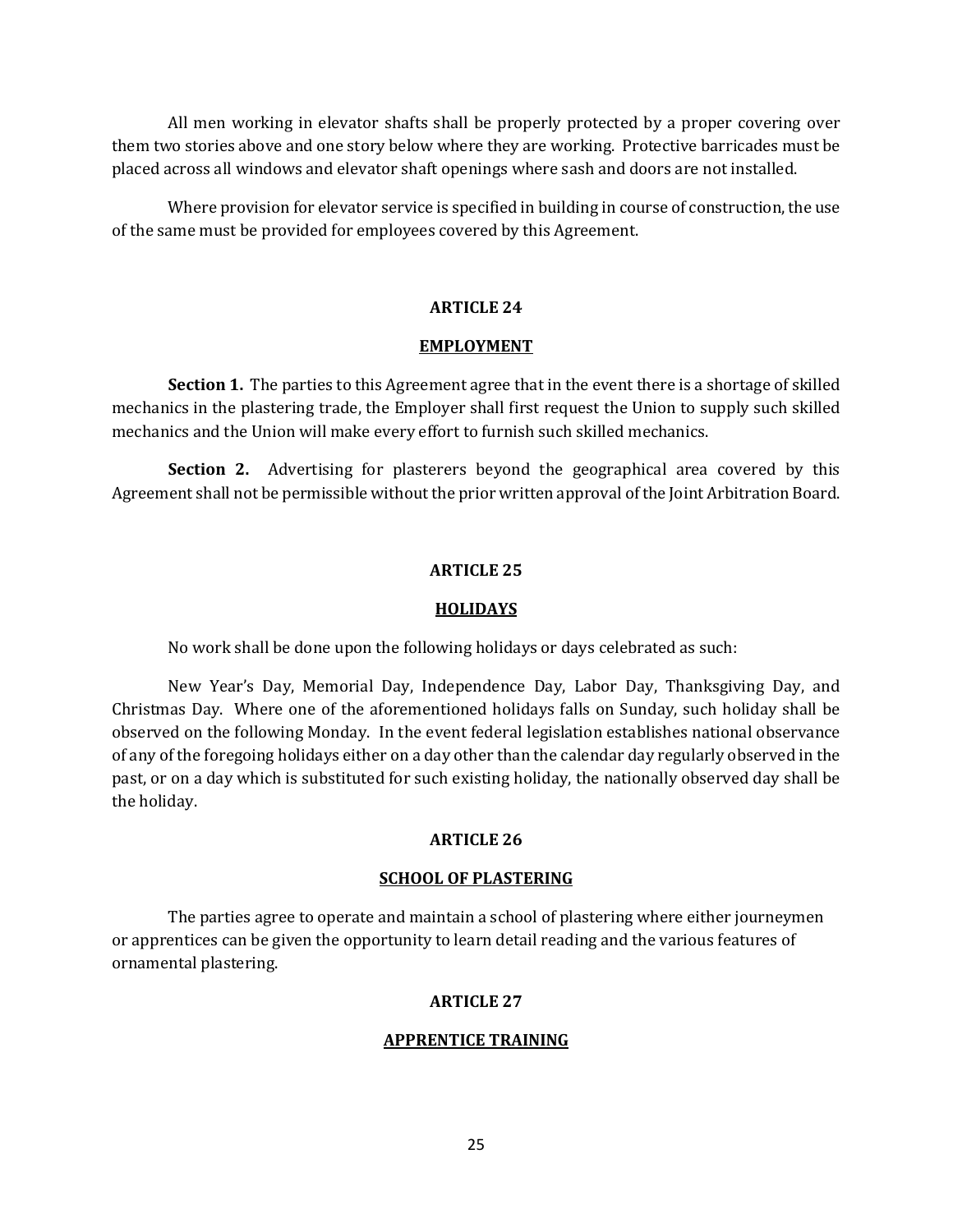All men working in elevator shafts shall be properly protected by a proper covering over them two stories above and one story below where they are working. Protective barricades must be placed across all windows and elevator shaft openings where sash and doors are not installed.

Where provision for elevator service is specified in building in course of construction, the use of the same must be provided for employees covered by this Agreement.

# **ARTICLE 24**

## **EMPLOYMENT**

**Section 1.** The parties to this Agreement agree that in the event there is a shortage of skilled mechanics in the plastering trade, the Employer shall first request the Union to supply such skilled mechanics and the Union will make every effort to furnish such skilled mechanics.

**Section 2.** Advertising for plasterers beyond the geographical area covered by this Agreement shall not be permissible without the prior written approval of the Joint Arbitration Board.

# **ARTICLE 25**

## **HOLIDAYS**

No work shall be done upon the following holidays or days celebrated as such:

New Year's Day, Memorial Day, Independence Day, Labor Day, Thanksgiving Day, and Christmas Day. Where one of the aforementioned holidays falls on Sunday, such holiday shall be observed on the following Monday. In the event federal legislation establishes national observance of any of the foregoing holidays either on a day other than the calendar day regularly observed in the past, or on a day which is substituted for such existing holiday, the nationally observed day shall be the holiday.

# **ARTICLE 26**

## **SCHOOL OF PLASTERING**

The parties agree to operate and maintain a school of plastering where either journeymen or apprentices can be given the opportunity to learn detail reading and the various features of ornamental plastering.

# **ARTICLE 27**

# **APPRENTICE TRAINING**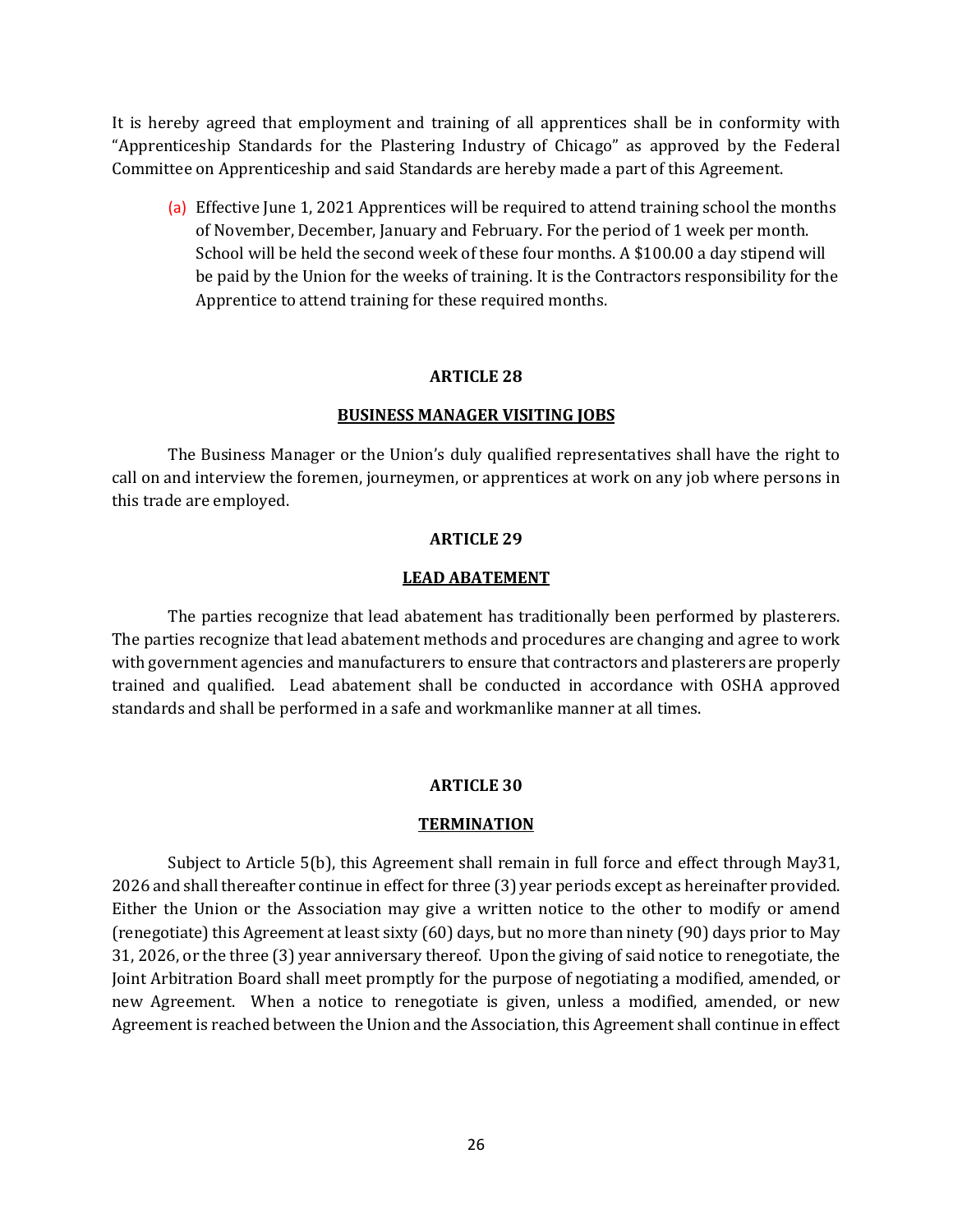It is hereby agreed that employment and training of all apprentices shall be in conformity with "Apprenticeship Standards for the Plastering Industry of Chicago" as approved by the Federal Committee on Apprenticeship and said Standards are hereby made a part of this Agreement.

(a) Effective June 1, 2021 Apprentices will be required to attend training school the months of November, December, January and February. For the period of 1 week per month. School will be held the second week of these four months. A \$100.00 a day stipend will be paid by the Union for the weeks of training. It is the Contractors responsibility for the Apprentice to attend training for these required months.

## **ARTICLE 28**

## **BUSINESS MANAGER VISITING JOBS**

The Business Manager or the Union's duly qualified representatives shall have the right to call on and interview the foremen, journeymen, or apprentices at work on any job where persons in this trade are employed.

## **ARTICLE 29**

### **LEAD ABATEMENT**

The parties recognize that lead abatement has traditionally been performed by plasterers. The parties recognize that lead abatement methods and procedures are changing and agree to work with government agencies and manufacturers to ensure that contractors and plasterers are properly trained and qualified. Lead abatement shall be conducted in accordance with OSHA approved standards and shall be performed in a safe and workmanlike manner at all times.

#### **ARTICLE 30**

#### **TERMINATION**

Subject to Article 5(b), this Agreement shall remain in full force and effect through May31, 2026 and shall thereafter continue in effect for three (3) year periods except as hereinafter provided. Either the Union or the Association may give a written notice to the other to modify or amend (renegotiate) this Agreement at least sixty (60) days, but no more than ninety (90) days prior to May 31, 2026, or the three (3) year anniversary thereof. Upon the giving of said notice to renegotiate, the Joint Arbitration Board shall meet promptly for the purpose of negotiating a modified, amended, or new Agreement. When a notice to renegotiate is given, unless a modified, amended, or new Agreement is reached between the Union and the Association, this Agreement shall continue in effect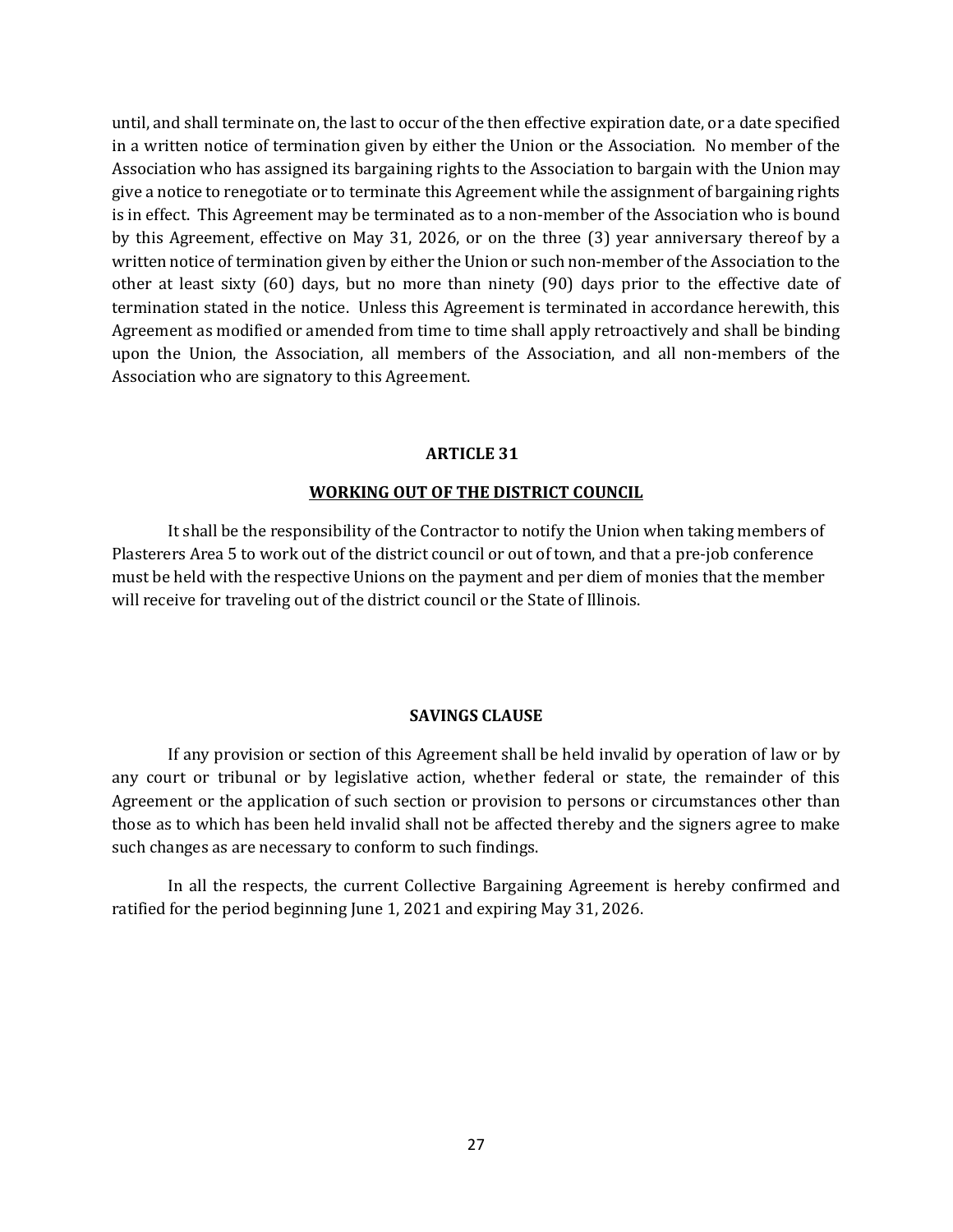until, and shall terminate on, the last to occur of the then effective expiration date, or a date specified in a written notice of termination given by either the Union or the Association. No member of the Association who has assigned its bargaining rights to the Association to bargain with the Union may give a notice to renegotiate or to terminate this Agreement while the assignment of bargaining rights is in effect. This Agreement may be terminated as to a non-member of the Association who is bound by this Agreement, effective on May 31, 2026, or on the three (3) year anniversary thereof by a written notice of termination given by either the Union or such non-member of the Association to the other at least sixty (60) days, but no more than ninety (90) days prior to the effective date of termination stated in the notice. Unless this Agreement is terminated in accordance herewith, this Agreement as modified or amended from time to time shall apply retroactively and shall be binding upon the Union, the Association, all members of the Association, and all non-members of the Association who are signatory to this Agreement.

## **ARTICLE 31**

## **WORKING OUT OF THE DISTRICT COUNCIL**

It shall be the responsibility of the Contractor to notify the Union when taking members of Plasterers Area 5 to work out of the district council or out of town, and that a pre-job conference must be held with the respective Unions on the payment and per diem of monies that the member will receive for traveling out of the district council or the State of Illinois.

## **SAVINGS CLAUSE**

If any provision or section of this Agreement shall be held invalid by operation of law or by any court or tribunal or by legislative action, whether federal or state, the remainder of this Agreement or the application of such section or provision to persons or circumstances other than those as to which has been held invalid shall not be affected thereby and the signers agree to make such changes as are necessary to conform to such findings.

In all the respects, the current Collective Bargaining Agreement is hereby confirmed and ratified for the period beginning June 1, 2021 and expiring May 31, 2026.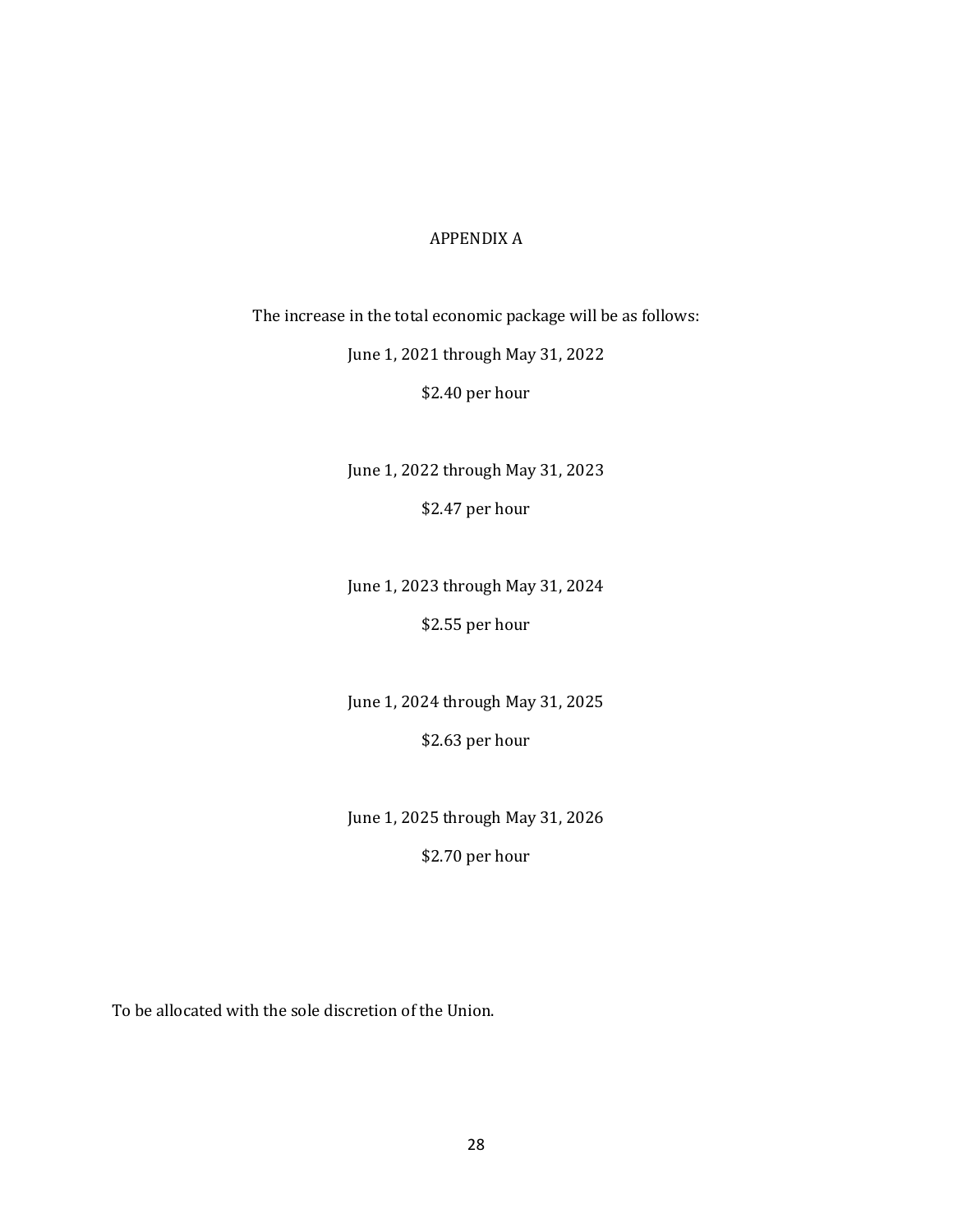# APPENDIX A

The increase in the total economic package will be as follows:

June 1, 2021 through May 31, 2022

\$2.40 per hour

June 1, 2022 through May 31, 2023 \$2.47 per hour

June 1, 2023 through May 31, 2024

\$2.55 per hour

June 1, 2024 through May 31, 2025

\$2.63 per hour

June 1, 2025 through May 31, 2026

\$2.70 per hour

To be allocated with the sole discretion of the Union.